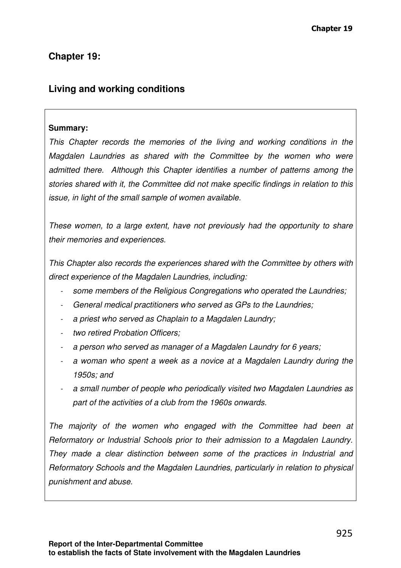# **Chapter 19:**

# **Living and working conditions**

### **Summary:**

This Chapter records the memories of the living and working conditions in the Magdalen Laundries as shared with the Committee by the women who were admitted there. Although this Chapter identifies a number of patterns among the stories shared with it, the Committee did not make specific findings in relation to this issue, in light of the small sample of women available.

These women, to a large extent, have not previously had the opportunity to share their memories and experiences.

This Chapter also records the experiences shared with the Committee by others with direct experience of the Magdalen Laundries, including:

- some members of the Religious Congregations who operated the Laundries;
- General medical practitioners who served as GPs to the Laundries;
- a priest who served as Chaplain to a Magdalen Laundry;
- two retired Probation Officers:
- a person who served as manager of a Magdalen Laundry for 6 years;
- a woman who spent a week as a novice at a Magdalen Laundry during the 1950s; and
- a small number of people who periodically visited two Magdalen Laundries as part of the activities of a club from the 1960s onwards.

The majority of the women who engaged with the Committee had been at Reformatory or Industrial Schools prior to their admission to a Magdalen Laundry. They made a clear distinction between some of the practices in Industrial and Reformatory Schools and the Magdalen Laundries, particularly in relation to physical punishment and abuse.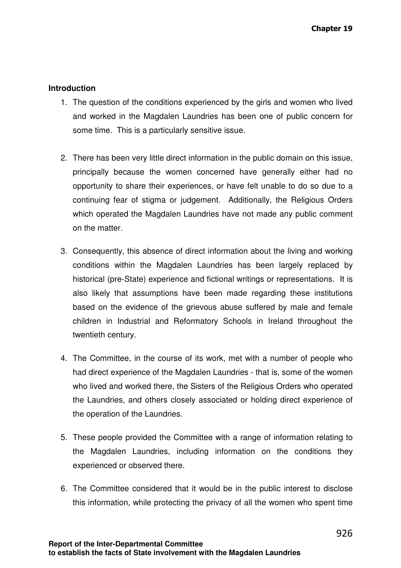#### **Introduction**

- 1. The question of the conditions experienced by the girls and women who lived and worked in the Magdalen Laundries has been one of public concern for some time. This is a particularly sensitive issue.
- 2. There has been very little direct information in the public domain on this issue, principally because the women concerned have generally either had no opportunity to share their experiences, or have felt unable to do so due to a continuing fear of stigma or judgement. Additionally, the Religious Orders which operated the Magdalen Laundries have not made any public comment on the matter.
- 3. Consequently, this absence of direct information about the living and working conditions within the Magdalen Laundries has been largely replaced by historical (pre-State) experience and fictional writings or representations. It is also likely that assumptions have been made regarding these institutions based on the evidence of the grievous abuse suffered by male and female children in Industrial and Reformatory Schools in Ireland throughout the twentieth century.
- 4. The Committee, in the course of its work, met with a number of people who had direct experience of the Magdalen Laundries - that is, some of the women who lived and worked there, the Sisters of the Religious Orders who operated the Laundries, and others closely associated or holding direct experience of the operation of the Laundries.
- 5. These people provided the Committee with a range of information relating to the Magdalen Laundries, including information on the conditions they experienced or observed there.
- 6. The Committee considered that it would be in the public interest to disclose this information, while protecting the privacy of all the women who spent time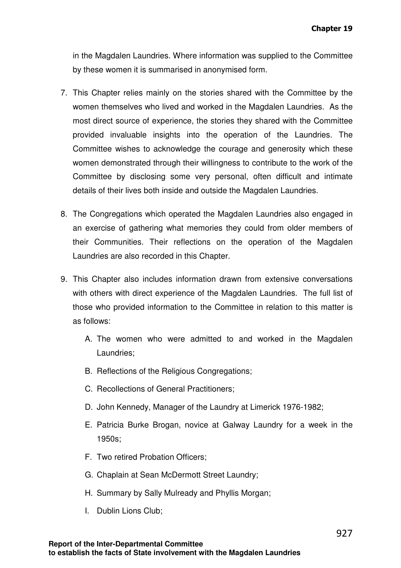in the Magdalen Laundries. Where information was supplied to the Committee by these women it is summarised in anonymised form.

- 7. This Chapter relies mainly on the stories shared with the Committee by the women themselves who lived and worked in the Magdalen Laundries. As the most direct source of experience, the stories they shared with the Committee provided invaluable insights into the operation of the Laundries. The Committee wishes to acknowledge the courage and generosity which these women demonstrated through their willingness to contribute to the work of the Committee by disclosing some very personal, often difficult and intimate details of their lives both inside and outside the Magdalen Laundries.
- 8. The Congregations which operated the Magdalen Laundries also engaged in an exercise of gathering what memories they could from older members of their Communities. Their reflections on the operation of the Magdalen Laundries are also recorded in this Chapter.
- 9. This Chapter also includes information drawn from extensive conversations with others with direct experience of the Magdalen Laundries. The full list of those who provided information to the Committee in relation to this matter is as follows:
	- A. The women who were admitted to and worked in the Magdalen Laundries;
	- B. Reflections of the Religious Congregations;
	- C. Recollections of General Practitioners;
	- D. John Kennedy, Manager of the Laundry at Limerick 1976-1982;
	- E. Patricia Burke Brogan, novice at Galway Laundry for a week in the 1950s;
	- F. Two retired Probation Officers;
	- G. Chaplain at Sean McDermott Street Laundry;
	- H. Summary by Sally Mulready and Phyllis Morgan;
	- I. Dublin Lions Club;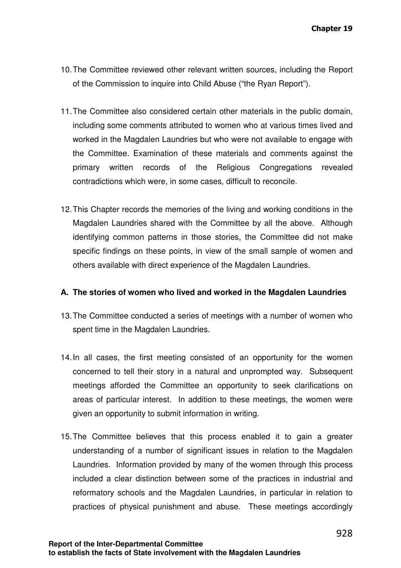- 10. The Committee reviewed other relevant written sources, including the Report of the Commission to inquire into Child Abuse ("the Ryan Report").
- 11. The Committee also considered certain other materials in the public domain, including some comments attributed to women who at various times lived and worked in the Magdalen Laundries but who were not available to engage with the Committee. Examination of these materials and comments against the primary written records of the Religious Congregations revealed contradictions which were, in some cases, difficult to reconcile.
- 12. This Chapter records the memories of the living and working conditions in the Magdalen Laundries shared with the Committee by all the above. Although identifying common patterns in those stories, the Committee did not make specific findings on these points, in view of the small sample of women and others available with direct experience of the Magdalen Laundries.

# **A. The stories of women who lived and worked in the Magdalen Laundries**

- 13. The Committee conducted a series of meetings with a number of women who spent time in the Magdalen Laundries.
- 14. In all cases, the first meeting consisted of an opportunity for the women concerned to tell their story in a natural and unprompted way. Subsequent meetings afforded the Committee an opportunity to seek clarifications on areas of particular interest. In addition to these meetings, the women were given an opportunity to submit information in writing.
- 15. The Committee believes that this process enabled it to gain a greater understanding of a number of significant issues in relation to the Magdalen Laundries. Information provided by many of the women through this process included a clear distinction between some of the practices in industrial and reformatory schools and the Magdalen Laundries, in particular in relation to practices of physical punishment and abuse. These meetings accordingly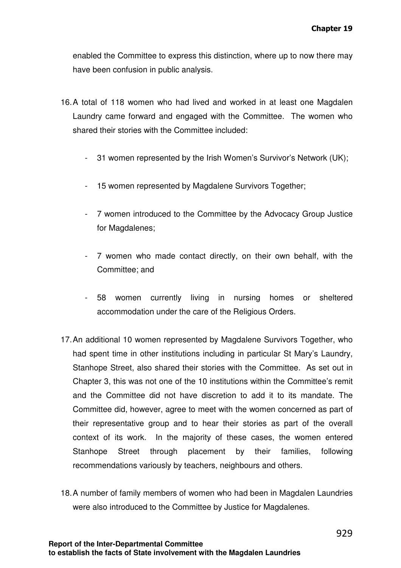enabled the Committee to express this distinction, where up to now there may have been confusion in public analysis.

- 16. A total of 118 women who had lived and worked in at least one Magdalen Laundry came forward and engaged with the Committee. The women who shared their stories with the Committee included:
	- 31 women represented by the Irish Women's Survivor's Network (UK);
	- 15 women represented by Magdalene Survivors Together;
	- 7 women introduced to the Committee by the Advocacy Group Justice for Magdalenes;
	- 7 women who made contact directly, on their own behalf, with the Committee; and
	- 58 women currently living in nursing homes or sheltered accommodation under the care of the Religious Orders.
- 17. An additional 10 women represented by Magdalene Survivors Together, who had spent time in other institutions including in particular St Mary's Laundry, Stanhope Street, also shared their stories with the Committee. As set out in Chapter 3, this was not one of the 10 institutions within the Committee's remit and the Committee did not have discretion to add it to its mandate. The Committee did, however, agree to meet with the women concerned as part of their representative group and to hear their stories as part of the overall context of its work. In the majority of these cases, the women entered Stanhope Street through placement by their families, following recommendations variously by teachers, neighbours and others.
- 18. A number of family members of women who had been in Magdalen Laundries were also introduced to the Committee by Justice for Magdalenes.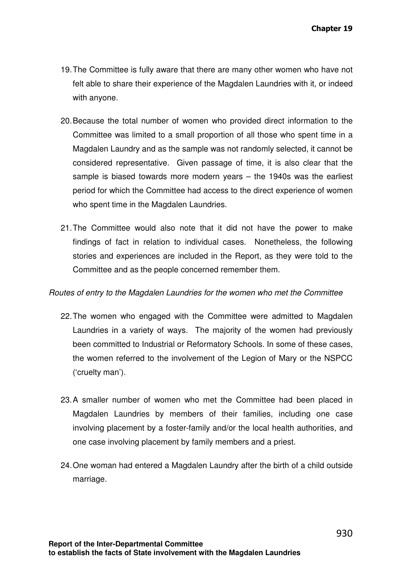- 19. The Committee is fully aware that there are many other women who have not felt able to share their experience of the Magdalen Laundries with it, or indeed with anyone.
- 20. Because the total number of women who provided direct information to the Committee was limited to a small proportion of all those who spent time in a Magdalen Laundry and as the sample was not randomly selected, it cannot be considered representative. Given passage of time, it is also clear that the sample is biased towards more modern years – the 1940s was the earliest period for which the Committee had access to the direct experience of women who spent time in the Magdalen Laundries.
- 21. The Committee would also note that it did not have the power to make findings of fact in relation to individual cases. Nonetheless, the following stories and experiences are included in the Report, as they were told to the Committee and as the people concerned remember them.

#### Routes of entry to the Magdalen Laundries for the women who met the Committee

- 22. The women who engaged with the Committee were admitted to Magdalen Laundries in a variety of ways. The majority of the women had previously been committed to Industrial or Reformatory Schools. In some of these cases, the women referred to the involvement of the Legion of Mary or the NSPCC ('cruelty man').
- 23. A smaller number of women who met the Committee had been placed in Magdalen Laundries by members of their families, including one case involving placement by a foster-family and/or the local health authorities, and one case involving placement by family members and a priest.
- 24. One woman had entered a Magdalen Laundry after the birth of a child outside marriage.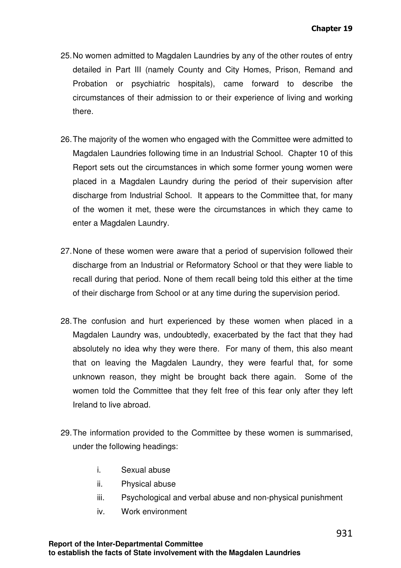- 25. No women admitted to Magdalen Laundries by any of the other routes of entry detailed in Part III (namely County and City Homes, Prison, Remand and Probation or psychiatric hospitals), came forward to describe the circumstances of their admission to or their experience of living and working there.
- 26. The majority of the women who engaged with the Committee were admitted to Magdalen Laundries following time in an Industrial School. Chapter 10 of this Report sets out the circumstances in which some former young women were placed in a Magdalen Laundry during the period of their supervision after discharge from Industrial School. It appears to the Committee that, for many of the women it met, these were the circumstances in which they came to enter a Magdalen Laundry.
- 27. None of these women were aware that a period of supervision followed their discharge from an Industrial or Reformatory School or that they were liable to recall during that period. None of them recall being told this either at the time of their discharge from School or at any time during the supervision period.
- 28. The confusion and hurt experienced by these women when placed in a Magdalen Laundry was, undoubtedly, exacerbated by the fact that they had absolutely no idea why they were there. For many of them, this also meant that on leaving the Magdalen Laundry, they were fearful that, for some unknown reason, they might be brought back there again. Some of the women told the Committee that they felt free of this fear only after they left Ireland to live abroad.
- 29. The information provided to the Committee by these women is summarised, under the following headings:
	- i. Sexual abuse
	- ii. Physical abuse
	- iii. Psychological and verbal abuse and non-physical punishment
	- iv. Work environment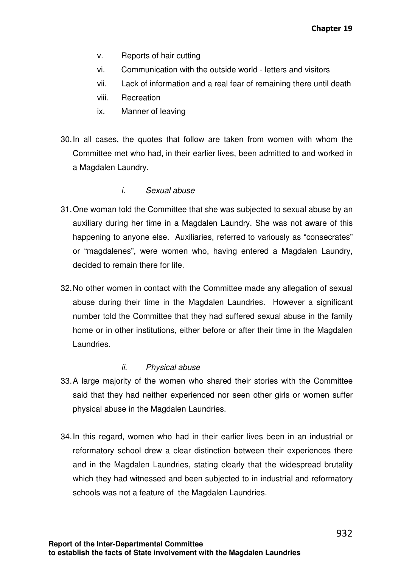- v. Reports of hair cutting
- vi. Communication with the outside world letters and visitors
- vii. Lack of information and a real fear of remaining there until death
- viii. Recreation
- ix. Manner of leaving
- 30. In all cases, the quotes that follow are taken from women with whom the Committee met who had, in their earlier lives, been admitted to and worked in a Magdalen Laundry.

# i. Sexual abuse

- 31. One woman told the Committee that she was subjected to sexual abuse by an auxiliary during her time in a Magdalen Laundry. She was not aware of this happening to anyone else. Auxiliaries, referred to variously as "consecrates" or "magdalenes", were women who, having entered a Magdalen Laundry, decided to remain there for life.
- 32. No other women in contact with the Committee made any allegation of sexual abuse during their time in the Magdalen Laundries. However a significant number told the Committee that they had suffered sexual abuse in the family home or in other institutions, either before or after their time in the Magdalen Laundries.

# ii. Physical abuse

- 33. A large majority of the women who shared their stories with the Committee said that they had neither experienced nor seen other girls or women suffer physical abuse in the Magdalen Laundries.
- 34. In this regard, women who had in their earlier lives been in an industrial or reformatory school drew a clear distinction between their experiences there and in the Magdalen Laundries, stating clearly that the widespread brutality which they had witnessed and been subjected to in industrial and reformatory schools was not a feature of the Magdalen Laundries.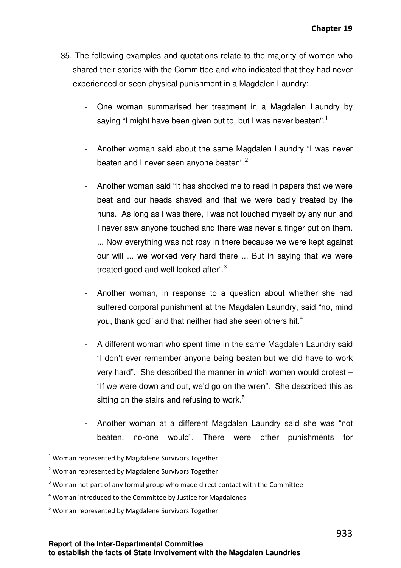- 35. The following examples and quotations relate to the majority of women who shared their stories with the Committee and who indicated that they had never experienced or seen physical punishment in a Magdalen Laundry:
	- One woman summarised her treatment in a Magdalen Laundry by saying "I might have been given out to, but I was never beaten".<sup>1</sup>
	- Another woman said about the same Magdalen Laundry "I was never beaten and I never seen anyone beaten".<sup>2</sup>
	- Another woman said "It has shocked me to read in papers that we were beat and our heads shaved and that we were badly treated by the nuns. As long as I was there, I was not touched myself by any nun and I never saw anyone touched and there was never a finger put on them. ... Now everything was not rosy in there because we were kept against our will ... we worked very hard there ... But in saying that we were treated good and well looked after".<sup>3</sup>
	- Another woman, in response to a question about whether she had suffered corporal punishment at the Magdalen Laundry, said "no, mind you, thank god" and that neither had she seen others hit.<sup>4</sup>
	- A different woman who spent time in the same Magdalen Laundry said "I don't ever remember anyone being beaten but we did have to work very hard". She described the manner in which women would protest – "If we were down and out, we'd go on the wren". She described this as sitting on the stairs and refusing to work.<sup>5</sup>
	- Another woman at a different Magdalen Laundry said she was "not beaten, no-one would". There were other punishments for

 $1$  Woman represented by Magdalene Survivors Together

<sup>&</sup>lt;sup>2</sup> Woman represented by Magdalene Survivors Together

 $3$  Woman not part of any formal group who made direct contact with the Committee

<sup>&</sup>lt;sup>4</sup> Woman introduced to the Committee by Justice for Magdalenes

<sup>&</sup>lt;sup>5</sup> Woman represented by Magdalene Survivors Together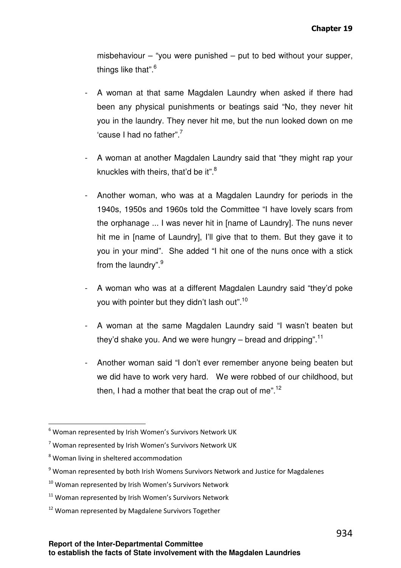misbehaviour – "you were punished – put to bed without your supper, things like that".<sup>6</sup>

- A woman at that same Magdalen Laundry when asked if there had been any physical punishments or beatings said "No, they never hit you in the laundry. They never hit me, but the nun looked down on me 'cause I had no father".<sup>7</sup>
- A woman at another Magdalen Laundry said that "they might rap your knuckles with theirs, that'd be it".<sup>8</sup>
- Another woman, who was at a Magdalen Laundry for periods in the 1940s, 1950s and 1960s told the Committee "I have lovely scars from the orphanage ... I was never hit in [name of Laundry]. The nuns never hit me in [name of Laundry], I'll give that to them. But they gave it to you in your mind". She added "I hit one of the nuns once with a stick from the laundry".<sup>9</sup>
- A woman who was at a different Magdalen Laundry said "they'd poke you with pointer but they didn't lash out".<sup>10</sup>
- A woman at the same Magdalen Laundry said "I wasn't beaten but they'd shake you. And we were hungry – bread and dripping". $^{11}$
- Another woman said "I don't ever remember anyone being beaten but we did have to work very hard. We were robbed of our childhood, but then, I had a mother that beat the crap out of me".<sup>12</sup>

<sup>&</sup>lt;sup>6</sup> Woman represented by Irish Women's Survivors Network UK

<sup>&</sup>lt;sup>7</sup> Woman represented by Irish Women's Survivors Network UK

<sup>&</sup>lt;sup>8</sup> Woman living in sheltered accommodation

<sup>&</sup>lt;sup>9</sup> Woman represented by both Irish Womens Survivors Network and Justice for Magdalenes

<sup>&</sup>lt;sup>10</sup> Woman represented by Irish Women's Survivors Network

<sup>&</sup>lt;sup>11</sup> Woman represented by Irish Women's Survivors Network

<sup>&</sup>lt;sup>12</sup> Woman represented by Magdalene Survivors Together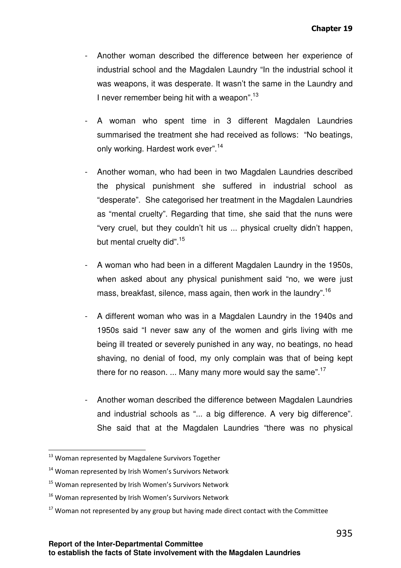- Another woman described the difference between her experience of industrial school and the Magdalen Laundry "In the industrial school it was weapons, it was desperate. It wasn't the same in the Laundry and I never remember being hit with a weapon".<sup>13</sup>
- A woman who spent time in 3 different Magdalen Laundries summarised the treatment she had received as follows: "No beatings, only working. Hardest work ever".<sup>14</sup>
- Another woman, who had been in two Magdalen Laundries described the physical punishment she suffered in industrial school as "desperate". She categorised her treatment in the Magdalen Laundries as "mental cruelty". Regarding that time, she said that the nuns were "very cruel, but they couldn't hit us ... physical cruelty didn't happen, but mental cruelty did".<sup>15</sup>
- A woman who had been in a different Magdalen Laundry in the 1950s, when asked about any physical punishment said "no, we were just mass, breakfast, silence, mass again, then work in the laundry".<sup>16</sup>
- A different woman who was in a Magdalen Laundry in the 1940s and 1950s said "I never saw any of the women and girls living with me being ill treated or severely punished in any way, no beatings, no head shaving, no denial of food, my only complain was that of being kept there for no reason. ... Many many more would say the same".<sup>17</sup>
- Another woman described the difference between Magdalen Laundries and industrial schools as "... a big difference. A very big difference". She said that at the Magdalen Laundries "there was no physical

<sup>&</sup>lt;sup>13</sup> Woman represented by Magdalene Survivors Together

<sup>&</sup>lt;sup>14</sup> Woman represented by Irish Women's Survivors Network

<sup>&</sup>lt;sup>15</sup> Woman represented by Irish Women's Survivors Network

<sup>&</sup>lt;sup>16</sup> Woman represented by Irish Women's Survivors Network

 $17$  Woman not represented by any group but having made direct contact with the Committee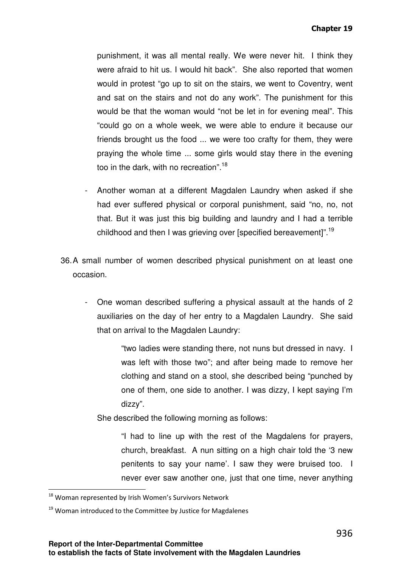punishment, it was all mental really. We were never hit. I think they were afraid to hit us. I would hit back". She also reported that women would in protest "go up to sit on the stairs, we went to Coventry, went and sat on the stairs and not do any work". The punishment for this would be that the woman would "not be let in for evening meal". This "could go on a whole week, we were able to endure it because our friends brought us the food ... we were too crafty for them, they were praying the whole time ... some girls would stay there in the evening too in the dark, with no recreation".<sup>18</sup>

- Another woman at a different Magdalen Laundry when asked if she had ever suffered physical or corporal punishment, said "no, no, not that. But it was just this big building and laundry and I had a terrible childhood and then I was grieving over [specified bereavement]".<sup>19</sup>
- 36. A small number of women described physical punishment on at least one occasion.
	- One woman described suffering a physical assault at the hands of 2 auxiliaries on the day of her entry to a Magdalen Laundry. She said that on arrival to the Magdalen Laundry:

"two ladies were standing there, not nuns but dressed in navy. I was left with those two"; and after being made to remove her clothing and stand on a stool, she described being "punched by one of them, one side to another. I was dizzy, I kept saying I'm dizzy".

She described the following morning as follows:

"I had to line up with the rest of the Magdalens for prayers, church, breakfast. A nun sitting on a high chair told the '3 new penitents to say your name'. I saw they were bruised too. I never ever saw another one, just that one time, never anything

<sup>&</sup>lt;sup>18</sup> Woman represented by Irish Women's Survivors Network

<sup>&</sup>lt;sup>19</sup> Woman introduced to the Committee by Justice for Magdalenes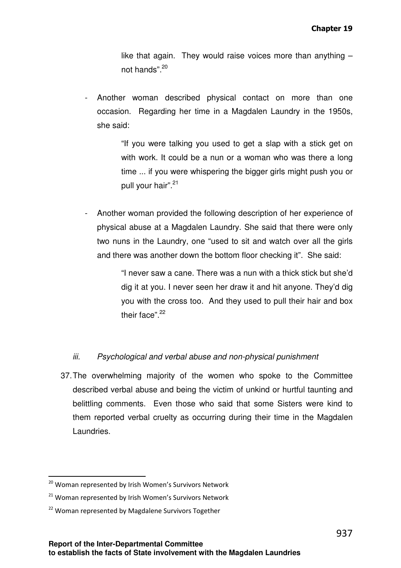like that again. They would raise voices more than anything  $$ not hands".<sup>20</sup>

Another woman described physical contact on more than one occasion. Regarding her time in a Magdalen Laundry in the 1950s, she said:

> "If you were talking you used to get a slap with a stick get on with work. It could be a nun or a woman who was there a long time ... if you were whispering the bigger girls might push you or pull your hair".<sup>21</sup>

- Another woman provided the following description of her experience of physical abuse at a Magdalen Laundry. She said that there were only two nuns in the Laundry, one "used to sit and watch over all the girls and there was another down the bottom floor checking it". She said:

> "I never saw a cane. There was a nun with a thick stick but she'd dig it at you. I never seen her draw it and hit anyone. They'd dig you with the cross too. And they used to pull their hair and box their face".<sup>22</sup>

# iii. Psychological and verbal abuse and non-physical punishment

37. The overwhelming majority of the women who spoke to the Committee described verbal abuse and being the victim of unkind or hurtful taunting and belittling comments. Even those who said that some Sisters were kind to them reported verbal cruelty as occurring during their time in the Magdalen Laundries.

<sup>&</sup>lt;sup>20</sup> Woman represented by Irish Women's Survivors Network

 $21$  Woman represented by Irish Women's Survivors Network

<sup>&</sup>lt;sup>22</sup> Woman represented by Magdalene Survivors Together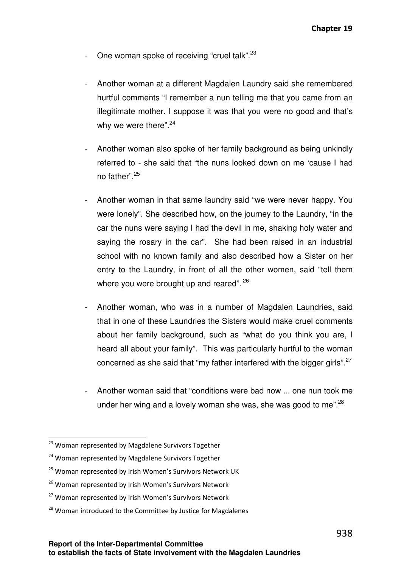- One woman spoke of receiving "cruel talk".<sup>23</sup>
- Another woman at a different Magdalen Laundry said she remembered hurtful comments "I remember a nun telling me that you came from an illegitimate mother. I suppose it was that you were no good and that's why we were there".<sup>24</sup>
- Another woman also spoke of her family background as being unkindly referred to - she said that "the nuns looked down on me 'cause I had no father".<sup>25</sup>
- Another woman in that same laundry said "we were never happy. You were lonely". She described how, on the journey to the Laundry, "in the car the nuns were saying I had the devil in me, shaking holy water and saying the rosary in the car". She had been raised in an industrial school with no known family and also described how a Sister on her entry to the Laundry, in front of all the other women, said "tell them where you were brought up and reared". <sup>26</sup>
- Another woman, who was in a number of Magdalen Laundries, said that in one of these Laundries the Sisters would make cruel comments about her family background, such as "what do you think you are, I heard all about your family". This was particularly hurtful to the woman concerned as she said that "my father interfered with the bigger girls". $27$
- Another woman said that "conditions were bad now ... one nun took me under her wing and a lovely woman she was, she was good to me". $^{28}$

<sup>&</sup>lt;sup>23</sup> Woman represented by Magdalene Survivors Together

<sup>&</sup>lt;sup>24</sup> Woman represented by Magdalene Survivors Together

<sup>&</sup>lt;sup>25</sup> Woman represented by Irish Women's Survivors Network UK

<sup>&</sup>lt;sup>26</sup> Woman represented by Irish Women's Survivors Network

<sup>&</sup>lt;sup>27</sup> Woman represented by Irish Women's Survivors Network

<sup>&</sup>lt;sup>28</sup> Woman introduced to the Committee by Justice for Magdalenes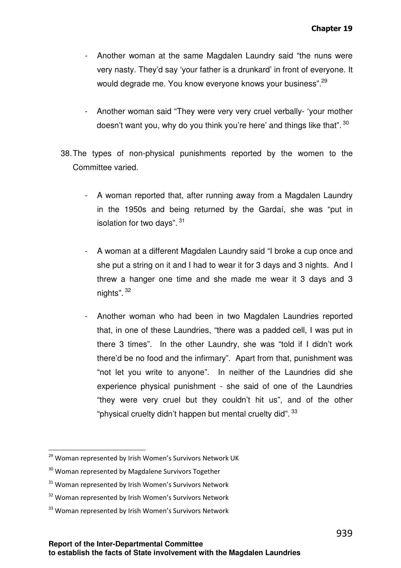- Another woman at the same Magdalen Laundry said "the nuns were very nasty. They'd say 'your father is a drunkard' in front of everyone. It would degrade me. You know everyone knows your business".<sup>29</sup>
- Another woman said "They were very very cruel verbally- 'your mother doesn't want you, why do you think you're here' and things like that".  $^{30}$
- 38. The types of non-physical punishments reported by the women to the Committee varied.
	- A woman reported that, after running away from a Magdalen Laundry in the 1950s and being returned by the Gardaí, she was "put in isolation for two days". <sup>31</sup>
	- A woman at a different Magdalen Laundry said "I broke a cup once and she put a string on it and I had to wear it for 3 days and 3 nights. And I threw a hanger one time and she made me wear it 3 days and 3 nights". <sup>32</sup>
	- Another woman who had been in two Magdalen Laundries reported that, in one of these Laundries, "there was a padded cell, I was put in there 3 times". In the other Laundry, she was "told if I didn't work there'd be no food and the infirmary". Apart from that, punishment was "not let you write to anyone". In neither of the Laundries did she experience physical punishment - she said of one of the Laundries "they were very cruel but they couldn't hit us", and of the other "physical cruelty didn't happen but mental cruelty did". <sup>33</sup>

- <sup>32</sup> Woman represented by Irish Women's Survivors Network
- <sup>33</sup> Woman represented by Irish Women's Survivors Network

<sup>&</sup>lt;sup>29</sup> Woman represented by Irish Women's Survivors Network UK

<sup>&</sup>lt;sup>30</sup> Woman represented by Magdalene Survivors Together

<sup>&</sup>lt;sup>31</sup> Woman represented by Irish Women's Survivors Network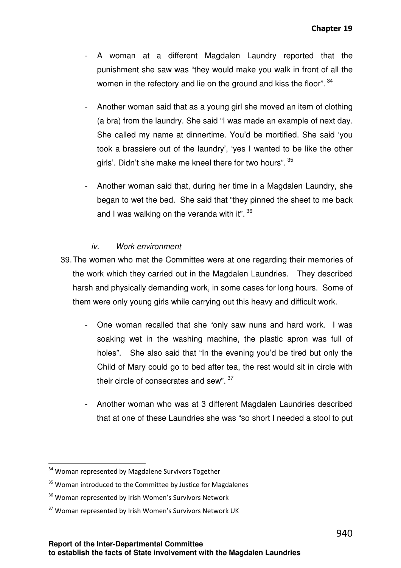- A woman at a different Magdalen Laundry reported that the punishment she saw was "they would make you walk in front of all the women in the refectory and lie on the ground and kiss the floor".  $34$
- Another woman said that as a young girl she moved an item of clothing (a bra) from the laundry. She said "I was made an example of next day. She called my name at dinnertime. You'd be mortified. She said 'you took a brassiere out of the laundry', 'yes I wanted to be like the other girls'. Didn't she make me kneel there for two hours". <sup>35</sup>
- Another woman said that, during her time in a Magdalen Laundry, she began to wet the bed. She said that "they pinned the sheet to me back and I was walking on the veranda with it".  $36$

### iv. Work environment

- 39. The women who met the Committee were at one regarding their memories of the work which they carried out in the Magdalen Laundries. They described harsh and physically demanding work, in some cases for long hours. Some of them were only young girls while carrying out this heavy and difficult work.
	- One woman recalled that she "only saw nuns and hard work. I was soaking wet in the washing machine, the plastic apron was full of holes". She also said that "In the evening you'd be tired but only the Child of Mary could go to bed after tea, the rest would sit in circle with their circle of consecrates and sew".  $37$
	- Another woman who was at 3 different Magdalen Laundries described that at one of these Laundries she was "so short I needed a stool to put

<sup>&</sup>lt;sup>34</sup> Woman represented by Magdalene Survivors Together

<sup>&</sup>lt;sup>35</sup> Woman introduced to the Committee by Justice for Magdalenes

<sup>&</sup>lt;sup>36</sup> Woman represented by Irish Women's Survivors Network

<sup>&</sup>lt;sup>37</sup> Woman represented by Irish Women's Survivors Network UK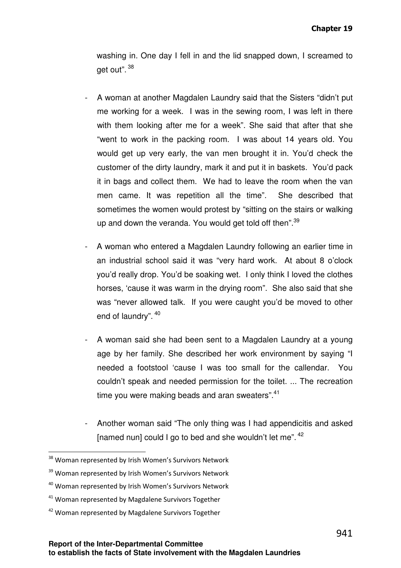washing in. One day I fell in and the lid snapped down, I screamed to get out". <sup>38</sup>

- A woman at another Magdalen Laundry said that the Sisters "didn't put me working for a week. I was in the sewing room, I was left in there with them looking after me for a week". She said that after that she "went to work in the packing room. I was about 14 years old. You would get up very early, the van men brought it in. You'd check the customer of the dirty laundry, mark it and put it in baskets. You'd pack it in bags and collect them. We had to leave the room when the van men came. It was repetition all the time". She described that sometimes the women would protest by "sitting on the stairs or walking up and down the veranda. You would get told off then".<sup>39</sup>
- A woman who entered a Magdalen Laundry following an earlier time in an industrial school said it was "very hard work. At about 8 o'clock you'd really drop. You'd be soaking wet. I only think I loved the clothes horses, 'cause it was warm in the drying room". She also said that she was "never allowed talk. If you were caught you'd be moved to other end of laundry". 40
- A woman said she had been sent to a Magdalen Laundry at a young age by her family. She described her work environment by saying "I needed a footstool 'cause I was too small for the callendar. You couldn't speak and needed permission for the toilet. ... The recreation time you were making beads and aran sweaters". $41$
- Another woman said "The only thing was I had appendicitis and asked [named nun] could I go to bed and she wouldn't let me".  $42$

l

<sup>&</sup>lt;sup>38</sup> Woman represented by Irish Women's Survivors Network

<sup>&</sup>lt;sup>39</sup> Woman represented by Irish Women's Survivors Network

<sup>&</sup>lt;sup>40</sup> Woman represented by Irish Women's Survivors Network

 $41$  Woman represented by Magdalene Survivors Together

<sup>&</sup>lt;sup>42</sup> Woman represented by Magdalene Survivors Together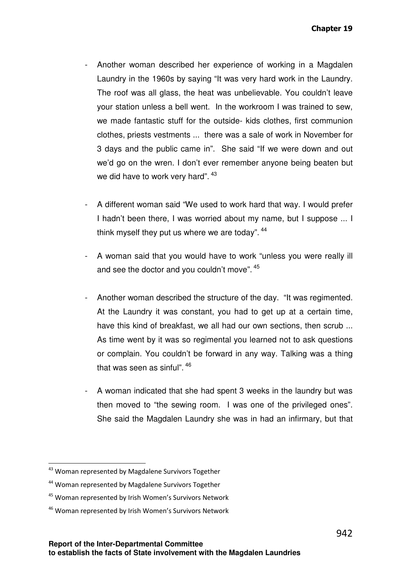- Another woman described her experience of working in a Magdalen Laundry in the 1960s by saying "It was very hard work in the Laundry. The roof was all glass, the heat was unbelievable. You couldn't leave your station unless a bell went. In the workroom I was trained to sew, we made fantastic stuff for the outside- kids clothes, first communion clothes, priests vestments ... there was a sale of work in November for 3 days and the public came in". She said "If we were down and out we'd go on the wren. I don't ever remember anyone being beaten but we did have to work very hard".  $43$
- A different woman said "We used to work hard that way. I would prefer I hadn't been there, I was worried about my name, but I suppose ... I think myself they put us where we are today".  $44$
- A woman said that you would have to work "unless you were really ill and see the doctor and you couldn't move".  $45$
- Another woman described the structure of the day. "It was regimented. At the Laundry it was constant, you had to get up at a certain time, have this kind of breakfast, we all had our own sections, then scrub ... As time went by it was so regimental you learned not to ask questions or complain. You couldn't be forward in any way. Talking was a thing that was seen as sinful".  $^{46}$
- A woman indicated that she had spent 3 weeks in the laundry but was then moved to "the sewing room. I was one of the privileged ones". She said the Magdalen Laundry she was in had an infirmary, but that

<sup>&</sup>lt;sup>43</sup> Woman represented by Magdalene Survivors Together

<sup>&</sup>lt;sup>44</sup> Woman represented by Magdalene Survivors Together

<sup>&</sup>lt;sup>45</sup> Woman represented by Irish Women's Survivors Network

<sup>&</sup>lt;sup>46</sup> Woman represented by Irish Women's Survivors Network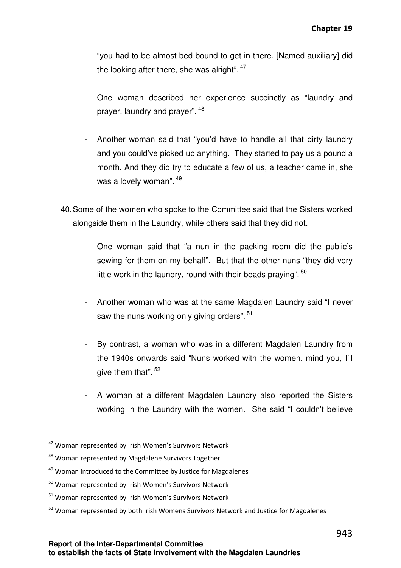"you had to be almost bed bound to get in there. [Named auxiliary] did the looking after there, she was alright".  $47$ 

- One woman described her experience succinctly as "laundry and prayer, laundry and prayer". <sup>48</sup>
- Another woman said that "you'd have to handle all that dirty laundry and you could've picked up anything. They started to pay us a pound a month. And they did try to educate a few of us, a teacher came in, she was a lovely woman". <sup>49</sup>
- 40. Some of the women who spoke to the Committee said that the Sisters worked alongside them in the Laundry, while others said that they did not.
	- One woman said that "a nun in the packing room did the public's sewing for them on my behalf". But that the other nuns "they did very little work in the laundry, round with their beads praying".  $50$
	- Another woman who was at the same Magdalen Laundry said "I never saw the nuns working only giving orders".  $51$
	- By contrast, a woman who was in a different Magdalen Laundry from the 1940s onwards said "Nuns worked with the women, mind you, I'll give them that". <sup>52</sup>
	- A woman at a different Magdalen Laundry also reported the Sisters working in the Laundry with the women. She said "I couldn't believe

<sup>&</sup>lt;sup>47</sup> Woman represented by Irish Women's Survivors Network

<sup>48</sup> Woman represented by Magdalene Survivors Together

 $49$  Woman introduced to the Committee by Justice for Magdalenes

<sup>&</sup>lt;sup>50</sup> Woman represented by Irish Women's Survivors Network

<sup>&</sup>lt;sup>51</sup> Woman represented by Irish Women's Survivors Network

<sup>&</sup>lt;sup>52</sup> Woman represented by both Irish Womens Survivors Network and Justice for Magdalenes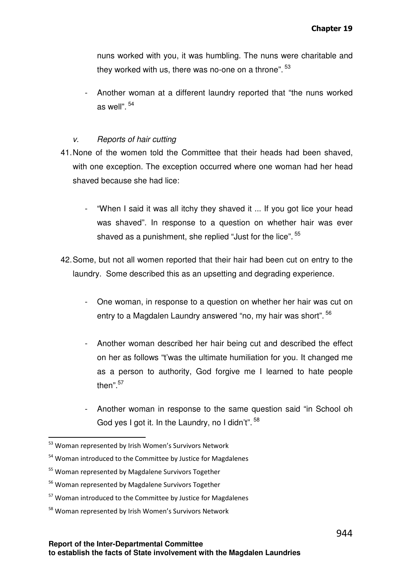nuns worked with you, it was humbling. The nuns were charitable and they worked with us, there was no-one on a throne".  $^{53}$ 

Another woman at a different laundry reported that "the nuns worked as well".<sup>54</sup>

#### v. Reports of hair cutting

- 41. None of the women told the Committee that their heads had been shaved, with one exception. The exception occurred where one woman had her head shaved because she had lice:
	- "When I said it was all itchy they shaved it ... If you got lice your head was shaved". In response to a question on whether hair was ever shaved as a punishment, she replied "Just for the lice". <sup>55</sup>
- 42. Some, but not all women reported that their hair had been cut on entry to the laundry. Some described this as an upsetting and degrading experience.
	- One woman, in response to a question on whether her hair was cut on entry to a Magdalen Laundry answered "no, my hair was short". <sup>56</sup>
	- Another woman described her hair being cut and described the effect on her as follows "t'was the ultimate humiliation for you. It changed me as a person to authority, God forgive me I learned to hate people then".<sup>57</sup>
	- Another woman in response to the same question said "in School oh God yes I got it. In the Laundry, no I didn't".<sup>58</sup>

<sup>53</sup> Woman represented by Irish Women's Survivors Network

<sup>&</sup>lt;sup>54</sup> Woman introduced to the Committee by Justice for Magdalenes

<sup>&</sup>lt;sup>55</sup> Woman represented by Magdalene Survivors Together

<sup>56</sup> Woman represented by Magdalene Survivors Together

<sup>&</sup>lt;sup>57</sup> Woman introduced to the Committee by Justice for Magdalenes

<sup>58</sup> Woman represented by Irish Women's Survivors Network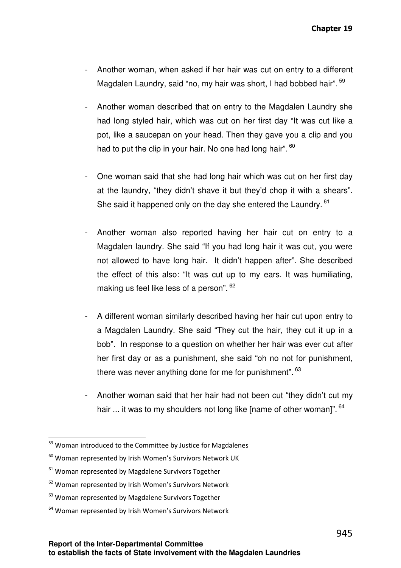- Another woman, when asked if her hair was cut on entry to a different Magdalen Laundry, said "no, my hair was short, I had bobbed hair".  $59$
- Another woman described that on entry to the Magdalen Laundry she had long styled hair, which was cut on her first day "It was cut like a pot, like a saucepan on your head. Then they gave you a clip and you had to put the clip in your hair. No one had long hair".  $^{60}$
- One woman said that she had long hair which was cut on her first day at the laundry, "they didn't shave it but they'd chop it with a shears". She said it happened only on the day she entered the Laundry.<sup>61</sup>
- Another woman also reported having her hair cut on entry to a Magdalen laundry. She said "If you had long hair it was cut, you were not allowed to have long hair. It didn't happen after". She described the effect of this also: "It was cut up to my ears. It was humiliating, making us feel like less of a person".  $62$
- A different woman similarly described having her hair cut upon entry to a Magdalen Laundry. She said "They cut the hair, they cut it up in a bob". In response to a question on whether her hair was ever cut after her first day or as a punishment, she said "oh no not for punishment, there was never anything done for me for punishment".  $^{63}$
- Another woman said that her hair had not been cut "they didn't cut my hair ... it was to my shoulders not long like [name of other woman]".  $^{64}$

<sup>&</sup>lt;sup>59</sup> Woman introduced to the Committee by Justice for Magdalenes

 $60$  Woman represented by Irish Women's Survivors Network UK

<sup>&</sup>lt;sup>61</sup> Woman represented by Magdalene Survivors Together

<sup>&</sup>lt;sup>62</sup> Woman represented by Irish Women's Survivors Network

<sup>&</sup>lt;sup>63</sup> Woman represented by Magdalene Survivors Together

<sup>&</sup>lt;sup>64</sup> Woman represented by Irish Women's Survivors Network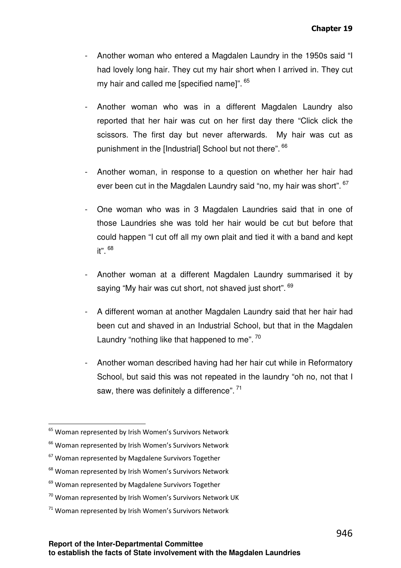- Another woman who entered a Magdalen Laundry in the 1950s said "I had lovely long hair. They cut my hair short when I arrived in. They cut my hair and called me [specified name]".  $^{65}$
- Another woman who was in a different Magdalen Laundry also reported that her hair was cut on her first day there "Click click the scissors. The first day but never afterwards. My hair was cut as punishment in the [Industrial] School but not there". <sup>66</sup>
- Another woman, in response to a question on whether her hair had ever been cut in the Magdalen Laundry said "no, my hair was short". <sup>67</sup>
- One woman who was in 3 Magdalen Laundries said that in one of those Laundries she was told her hair would be cut but before that could happen "I cut off all my own plait and tied it with a band and kept it". <sup>68</sup>
- Another woman at a different Magdalen Laundry summarised it by saying "My hair was cut short, not shaved just short". <sup>69</sup>
- A different woman at another Magdalen Laundry said that her hair had been cut and shaved in an Industrial School, but that in the Magdalen Laundry "nothing like that happened to me".  $^{70}$
- Another woman described having had her hair cut while in Reformatory School, but said this was not repeated in the laundry "oh no, not that I saw, there was definitely a difference". 71

<sup>&</sup>lt;sup>65</sup> Woman represented by Irish Women's Survivors Network

<sup>&</sup>lt;sup>66</sup> Woman represented by Irish Women's Survivors Network

<sup>&</sup>lt;sup>67</sup> Woman represented by Magdalene Survivors Together

<sup>&</sup>lt;sup>68</sup> Woman represented by Irish Women's Survivors Network

<sup>&</sup>lt;sup>69</sup> Woman represented by Magdalene Survivors Together

 $70$  Woman represented by Irish Women's Survivors Network UK

 $71$  Woman represented by Irish Women's Survivors Network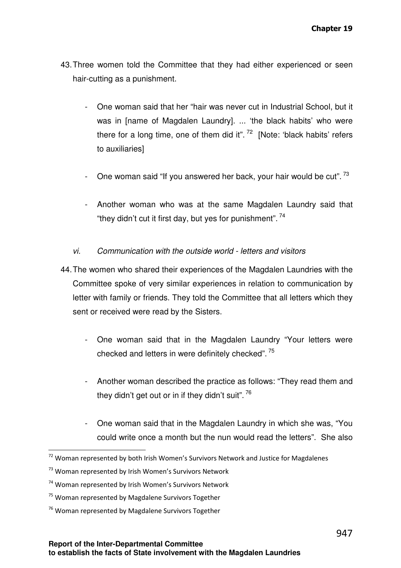- 43. Three women told the Committee that they had either experienced or seen hair-cutting as a punishment.
	- One woman said that her "hair was never cut in Industrial School, but it was in [name of Magdalen Laundry]. ... 'the black habits' who were there for a long time, one of them did it".  $72$  [Note: 'black habits' refers to auxiliaries]
	- One woman said "If you answered her back, your hair would be cut".  $^{73}$
	- Another woman who was at the same Magdalen Laundry said that "they didn't cut it first day, but yes for punishment".<sup>74</sup>
	- vi. Communication with the outside world letters and visitors
- 44. The women who shared their experiences of the Magdalen Laundries with the Committee spoke of very similar experiences in relation to communication by letter with family or friends. They told the Committee that all letters which they sent or received were read by the Sisters.
	- One woman said that in the Magdalen Laundry "Your letters were checked and letters in were definitely checked". <sup>75</sup>
	- Another woman described the practice as follows: "They read them and they didn't get out or in if they didn't suit".  $^{76}$
	- One woman said that in the Magdalen Laundry in which she was, "You could write once a month but the nun would read the letters". She also

 $72$  Woman represented by both Irish Women's Survivors Network and Justice for Magdalenes

<sup>&</sup>lt;sup>73</sup> Woman represented by Irish Women's Survivors Network

<sup>74</sup> Woman represented by Irish Women's Survivors Network

<sup>&</sup>lt;sup>75</sup> Woman represented by Magdalene Survivors Together

<sup>&</sup>lt;sup>76</sup> Woman represented by Magdalene Survivors Together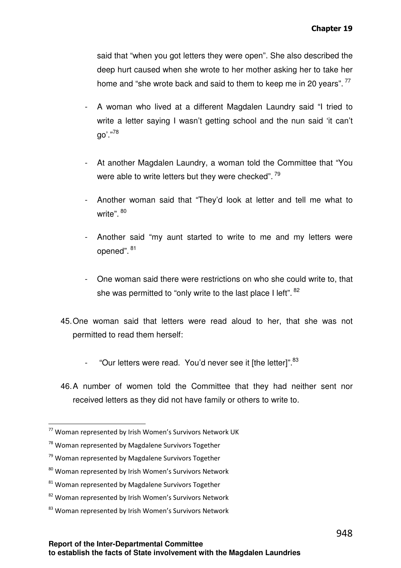said that "when you got letters they were open". She also described the deep hurt caused when she wrote to her mother asking her to take her home and "she wrote back and said to them to keep me in 20 years".  $^{77}$ 

- A woman who lived at a different Magdalen Laundry said "I tried to write a letter saying I wasn't getting school and the nun said 'it can't go'."<sup>78</sup>
- At another Magdalen Laundry, a woman told the Committee that "You were able to write letters but they were checked".  $^{79}$
- Another woman said that "They'd look at letter and tell me what to write". <sup>80</sup>
- Another said "my aunt started to write to me and my letters were opened". 81
- One woman said there were restrictions on who she could write to, that she was permitted to "only write to the last place I left".  $^{82}$
- 45. One woman said that letters were read aloud to her, that she was not permitted to read them herself:
	- "Our letters were read. You'd never see it [the letter]". $83$
- 46. A number of women told the Committee that they had neither sent nor received letters as they did not have family or others to write to.

<sup>77</sup> Woman represented by Irish Women's Survivors Network UK

<sup>&</sup>lt;sup>78</sup> Woman represented by Magdalene Survivors Together

<sup>&</sup>lt;sup>79</sup> Woman represented by Magdalene Survivors Together

<sup>80</sup> Woman represented by Irish Women's Survivors Network

<sup>&</sup>lt;sup>81</sup> Woman represented by Magdalene Survivors Together

<sup>82</sup> Woman represented by Irish Women's Survivors Network

<sup>83</sup> Woman represented by Irish Women's Survivors Network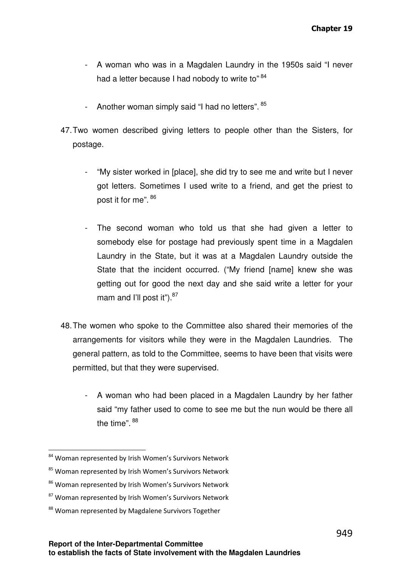- A woman who was in a Magdalen Laundry in the 1950s said "I never had a letter because I had nobody to write to"<sup>84</sup>
- Another woman simply said "I had no letters". <sup>85</sup>
- 47. Two women described giving letters to people other than the Sisters, for postage.
	- "My sister worked in [place], she did try to see me and write but I never got letters. Sometimes I used write to a friend, and get the priest to post it for me". <sup>86</sup>
	- The second woman who told us that she had given a letter to somebody else for postage had previously spent time in a Magdalen Laundry in the State, but it was at a Magdalen Laundry outside the State that the incident occurred. ("My friend [name] knew she was getting out for good the next day and she said write a letter for your mam and I'll post it" $b$ .<sup>87</sup>
- 48. The women who spoke to the Committee also shared their memories of the arrangements for visitors while they were in the Magdalen Laundries. The general pattern, as told to the Committee, seems to have been that visits were permitted, but that they were supervised.
	- A woman who had been placed in a Magdalen Laundry by her father said "my father used to come to see me but the nun would be there all the time". <sup>88</sup>

<sup>84</sup> Woman represented by Irish Women's Survivors Network

<sup>85</sup> Woman represented by Irish Women's Survivors Network

<sup>86</sup> Woman represented by Irish Women's Survivors Network

<sup>&</sup>lt;sup>87</sup> Woman represented by Irish Women's Survivors Network

<sup>88</sup> Woman represented by Magdalene Survivors Together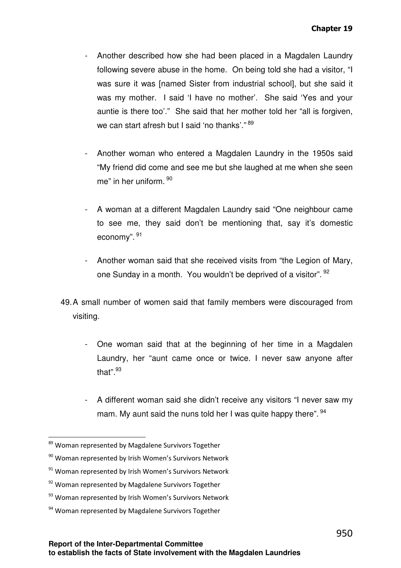- Another described how she had been placed in a Magdalen Laundry following severe abuse in the home. On being told she had a visitor, "I was sure it was [named Sister from industrial school], but she said it was my mother. I said 'I have no mother'. She said 'Yes and your auntie is there too'." She said that her mother told her "all is forgiven, we can start afresh but I said 'no thanks'."  $^{89}$
- Another woman who entered a Magdalen Laundry in the 1950s said "My friend did come and see me but she laughed at me when she seen me" in her uniform. <sup>90</sup>
- A woman at a different Magdalen Laundry said "One neighbour came to see me, they said don't be mentioning that, say it's domestic economy". <sup>91</sup>
- Another woman said that she received visits from "the Legion of Mary, one Sunday in a month. You wouldn't be deprived of a visitor". <sup>92</sup>
- 49. A small number of women said that family members were discouraged from visiting.
	- One woman said that at the beginning of her time in a Magdalen Laundry, her "aunt came once or twice. I never saw anyone after that".<sup>93</sup>
	- A different woman said she didn't receive any visitors "I never saw my mam. My aunt said the nuns told her I was quite happy there".  $94$

<sup>89</sup> Woman represented by Magdalene Survivors Together

<sup>90</sup> Woman represented by Irish Women's Survivors Network

<sup>&</sup>lt;sup>91</sup> Woman represented by Irish Women's Survivors Network

<sup>&</sup>lt;sup>92</sup> Woman represented by Magdalene Survivors Together

<sup>93</sup> Woman represented by Irish Women's Survivors Network

<sup>&</sup>lt;sup>94</sup> Woman represented by Magdalene Survivors Together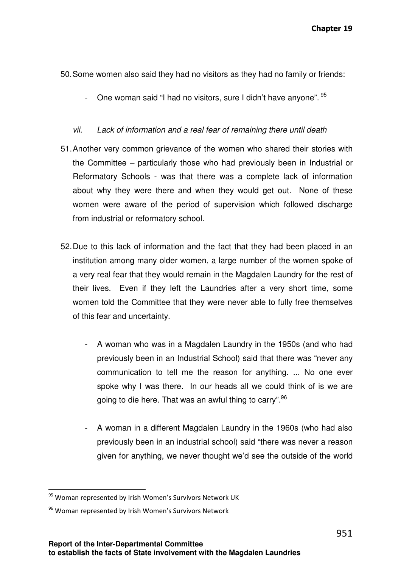- 50. Some women also said they had no visitors as they had no family or friends:
	- One woman said "I had no visitors, sure I didn't have anyone".  $95$

#### vii. Lack of information and a real fear of remaining there until death

- 51. Another very common grievance of the women who shared their stories with the Committee – particularly those who had previously been in Industrial or Reformatory Schools - was that there was a complete lack of information about why they were there and when they would get out. None of these women were aware of the period of supervision which followed discharge from industrial or reformatory school.
- 52. Due to this lack of information and the fact that they had been placed in an institution among many older women, a large number of the women spoke of a very real fear that they would remain in the Magdalen Laundry for the rest of their lives. Even if they left the Laundries after a very short time, some women told the Committee that they were never able to fully free themselves of this fear and uncertainty.
	- A woman who was in a Magdalen Laundry in the 1950s (and who had previously been in an Industrial School) said that there was "never any communication to tell me the reason for anything. ... No one ever spoke why I was there. In our heads all we could think of is we are going to die here. That was an awful thing to carry".<sup>96</sup>
	- A woman in a different Magdalen Laundry in the 1960s (who had also previously been in an industrial school) said "there was never a reason given for anything, we never thought we'd see the outside of the world

<sup>&</sup>lt;sup>95</sup> Woman represented by Irish Women's Survivors Network UK

<sup>&</sup>lt;sup>96</sup> Woman represented by Irish Women's Survivors Network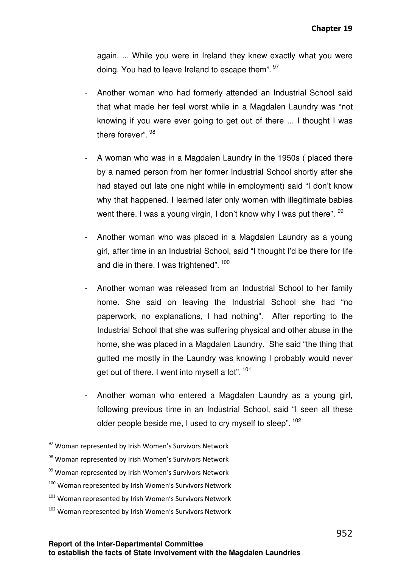again. ... While you were in Ireland they knew exactly what you were doing. You had to leave Ireland to escape them". <sup>97</sup>

- Another woman who had formerly attended an Industrial School said that what made her feel worst while in a Magdalen Laundry was "not knowing if you were ever going to get out of there ... I thought I was there forever". <sup>98</sup>
- A woman who was in a Magdalen Laundry in the 1950s ( placed there by a named person from her former Industrial School shortly after she had stayed out late one night while in employment) said "I don't know why that happened. I learned later only women with illegitimate babies went there. I was a young virgin, I don't know why I was put there".  $^{99}$
- Another woman who was placed in a Magdalen Laundry as a young girl, after time in an Industrial School, said "I thought I'd be there for life and die in there. I was frightened". <sup>100</sup>
- Another woman was released from an Industrial School to her family home. She said on leaving the Industrial School she had "no paperwork, no explanations, I had nothing". After reporting to the Industrial School that she was suffering physical and other abuse in the home, she was placed in a Magdalen Laundry. She said "the thing that gutted me mostly in the Laundry was knowing I probably would never get out of there. I went into myself a lot". <sup>101</sup>
- Another woman who entered a Magdalen Laundry as a young girl, following previous time in an Industrial School, said "I seen all these older people beside me, I used to cry myself to sleep". <sup>102</sup>

- <sup>100</sup> Woman represented by Irish Women's Survivors Network
- $101$  Woman represented by Irish Women's Survivors Network
- $102$  Woman represented by Irish Women's Survivors Network

<sup>97</sup> Woman represented by Irish Women's Survivors Network

<sup>98</sup> Woman represented by Irish Women's Survivors Network

<sup>99</sup> Woman represented by Irish Women's Survivors Network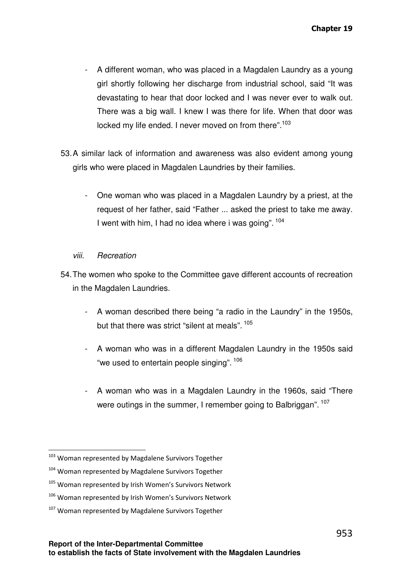- A different woman, who was placed in a Magdalen Laundry as a young girl shortly following her discharge from industrial school, said "It was devastating to hear that door locked and I was never ever to walk out. There was a big wall. I knew I was there for life. When that door was locked my life ended. I never moved on from there".<sup>103</sup>
- 53. A similar lack of information and awareness was also evident among young girls who were placed in Magdalen Laundries by their families.
	- One woman who was placed in a Magdalen Laundry by a priest, at the request of her father, said "Father ... asked the priest to take me away. I went with him, I had no idea where i was going". <sup>104</sup>

# viii. Recreation

- 54. The women who spoke to the Committee gave different accounts of recreation in the Magdalen Laundries.
	- A woman described there being "a radio in the Laundry" in the 1950s, but that there was strict "silent at meals".  $^{105}$
	- A woman who was in a different Magdalen Laundry in the 1950s said "we used to entertain people singing". <sup>106</sup>
	- A woman who was in a Magdalen Laundry in the 1960s, said "There were outings in the summer, I remember going to Balbriggan". <sup>107</sup>

<sup>103</sup> Woman represented by Magdalene Survivors Together

<sup>104</sup> Woman represented by Magdalene Survivors Together

<sup>&</sup>lt;sup>105</sup> Woman represented by Irish Women's Survivors Network

<sup>&</sup>lt;sup>106</sup> Woman represented by Irish Women's Survivors Network

<sup>&</sup>lt;sup>107</sup> Woman represented by Magdalene Survivors Together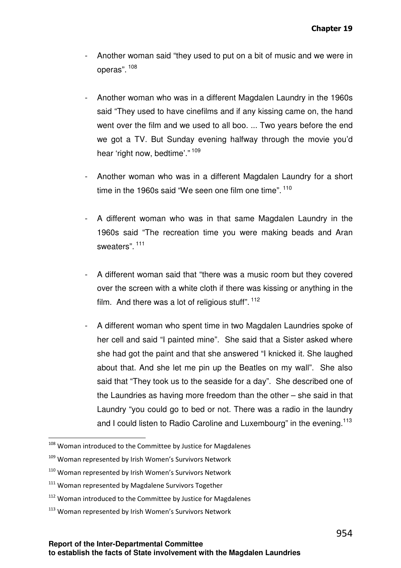- Another woman said "they used to put on a bit of music and we were in operas". 108
- Another woman who was in a different Magdalen Laundry in the 1960s said "They used to have cinefilms and if any kissing came on, the hand went over the film and we used to all boo. ... Two years before the end we got a TV. But Sunday evening halfway through the movie you'd hear 'right now, bedtime'."<sup>109</sup>
- Another woman who was in a different Magdalen Laundry for a short time in the 1960s said "We seen one film one time".  $^{110}$
- A different woman who was in that same Magdalen Laundry in the 1960s said "The recreation time you were making beads and Aran sweaters".<sup>111</sup>
- A different woman said that "there was a music room but they covered over the screen with a white cloth if there was kissing or anything in the film. And there was a lot of religious stuff".  $^{112}$
- A different woman who spent time in two Magdalen Laundries spoke of her cell and said "I painted mine". She said that a Sister asked where she had got the paint and that she answered "I knicked it. She laughed about that. And she let me pin up the Beatles on my wall". She also said that "They took us to the seaside for a day". She described one of the Laundries as having more freedom than the other – she said in that Laundry "you could go to bed or not. There was a radio in the laundry and I could listen to Radio Caroline and Luxembourg" in the evening.<sup>113</sup>

<sup>108</sup> Woman introduced to the Committee by Justice for Magdalenes

<sup>&</sup>lt;sup>109</sup> Woman represented by Irish Women's Survivors Network

 $110$  Woman represented by Irish Women's Survivors Network

<sup>&</sup>lt;sup>111</sup> Woman represented by Magdalene Survivors Together

<sup>&</sup>lt;sup>112</sup> Woman introduced to the Committee by Justice for Magdalenes

<sup>&</sup>lt;sup>113</sup> Woman represented by Irish Women's Survivors Network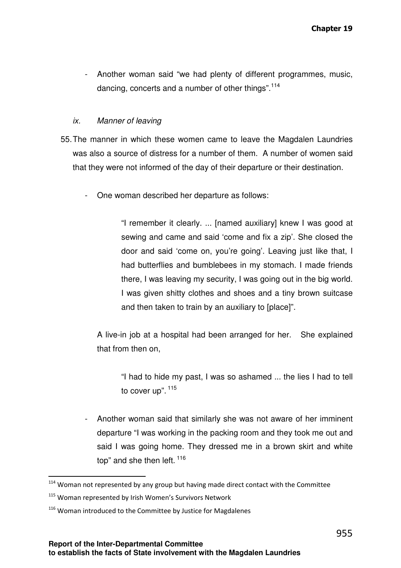- Another woman said "we had plenty of different programmes, music, dancing, concerts and a number of other things".<sup>114</sup>

### ix. Manner of leaving

- 55. The manner in which these women came to leave the Magdalen Laundries was also a source of distress for a number of them. A number of women said that they were not informed of the day of their departure or their destination.
	- One woman described her departure as follows:

"I remember it clearly. ... [named auxiliary] knew I was good at sewing and came and said 'come and fix a zip'. She closed the door and said 'come on, you're going'. Leaving just like that, I had butterflies and bumblebees in my stomach. I made friends there, I was leaving my security, I was going out in the big world. I was given shitty clothes and shoes and a tiny brown suitcase and then taken to train by an auxiliary to [place]".

A live-in job at a hospital had been arranged for her. She explained that from then on,

"I had to hide my past, I was so ashamed ... the lies I had to tell to cover up". <sup>115</sup>

- Another woman said that similarly she was not aware of her imminent departure "I was working in the packing room and they took me out and said I was going home. They dressed me in a brown skirt and white top" and she then left.  $116$ 

 $114$  Woman not represented by any group but having made direct contact with the Committee

<sup>&</sup>lt;sup>115</sup> Woman represented by Irish Women's Survivors Network

 $116$  Woman introduced to the Committee by Justice for Magdalenes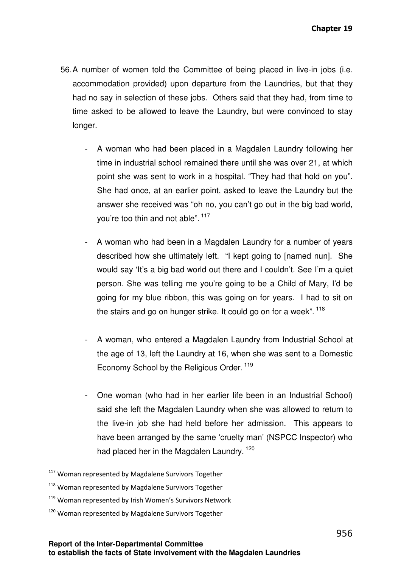- 56. A number of women told the Committee of being placed in live-in jobs (i.e. accommodation provided) upon departure from the Laundries, but that they had no say in selection of these jobs. Others said that they had, from time to time asked to be allowed to leave the Laundry, but were convinced to stay longer.
	- A woman who had been placed in a Magdalen Laundry following her time in industrial school remained there until she was over 21, at which point she was sent to work in a hospital. "They had that hold on you". She had once, at an earlier point, asked to leave the Laundry but the answer she received was "oh no, you can't go out in the big bad world, you're too thin and not able". <sup>117</sup>
	- A woman who had been in a Magdalen Laundry for a number of years described how she ultimately left. "I kept going to [named nun]. She would say 'It's a big bad world out there and I couldn't. See I'm a quiet person. She was telling me you're going to be a Child of Mary, I'd be going for my blue ribbon, this was going on for years. I had to sit on the stairs and go on hunger strike. It could go on for a week".  $^{118}$
	- A woman, who entered a Magdalen Laundry from Industrial School at the age of 13, left the Laundry at 16, when she was sent to a Domestic Economy School by the Religious Order.<sup>119</sup>
	- One woman (who had in her earlier life been in an Industrial School) said she left the Magdalen Laundry when she was allowed to return to the live-in job she had held before her admission. This appears to have been arranged by the same 'cruelty man' (NSPCC Inspector) who had placed her in the Magdalen Laundry. <sup>120</sup>

l

<sup>&</sup>lt;sup>117</sup> Woman represented by Magdalene Survivors Together

<sup>118</sup> Woman represented by Magdalene Survivors Together

<sup>119</sup> Woman represented by Irish Women's Survivors Network

<sup>&</sup>lt;sup>120</sup> Woman represented by Magdalene Survivors Together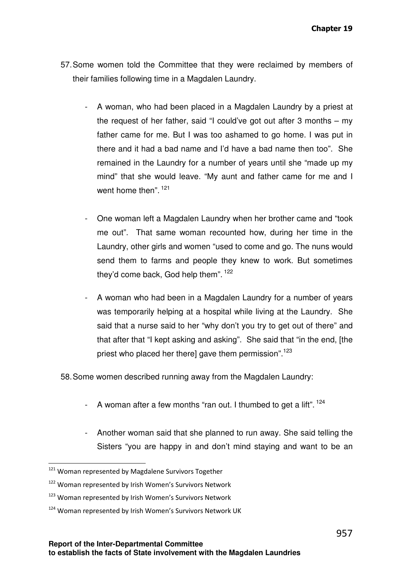- 57. Some women told the Committee that they were reclaimed by members of their families following time in a Magdalen Laundry.
	- A woman, who had been placed in a Magdalen Laundry by a priest at the request of her father, said "I could've got out after 3 months – my father came for me. But I was too ashamed to go home. I was put in there and it had a bad name and I'd have a bad name then too". She remained in the Laundry for a number of years until she "made up my mind" that she would leave. "My aunt and father came for me and I went home then". <sup>121</sup>
	- One woman left a Magdalen Laundry when her brother came and "took me out". That same woman recounted how, during her time in the Laundry, other girls and women "used to come and go. The nuns would send them to farms and people they knew to work. But sometimes they'd come back, God help them". <sup>122</sup>
	- A woman who had been in a Magdalen Laundry for a number of years was temporarily helping at a hospital while living at the Laundry. She said that a nurse said to her "why don't you try to get out of there" and that after that "I kept asking and asking". She said that "in the end, [the priest who placed her there] gave them permission".<sup>123</sup>

58. Some women described running away from the Magdalen Laundry:

- A woman after a few months "ran out. I thumbed to get a lift".  $^{124}$
- Another woman said that she planned to run away. She said telling the Sisters "you are happy in and don't mind staying and want to be an

<sup>&</sup>lt;sup>121</sup> Woman represented by Magdalene Survivors Together

<sup>122</sup> Woman represented by Irish Women's Survivors Network

<sup>&</sup>lt;sup>123</sup> Woman represented by Irish Women's Survivors Network

<sup>&</sup>lt;sup>124</sup> Woman represented by Irish Women's Survivors Network UK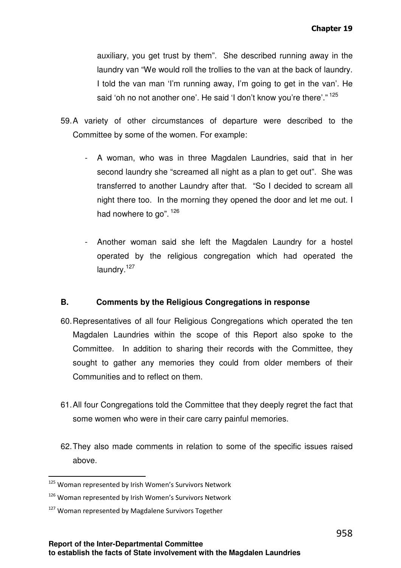auxiliary, you get trust by them". She described running away in the laundry van "We would roll the trollies to the van at the back of laundry. I told the van man 'I'm running away, I'm going to get in the van'. He said 'oh no not another one'. He said 'I don't know you're there'." <sup>125</sup>

- 59. A variety of other circumstances of departure were described to the Committee by some of the women. For example:
	- A woman, who was in three Magdalen Laundries, said that in her second laundry she "screamed all night as a plan to get out". She was transferred to another Laundry after that. "So I decided to scream all night there too. In the morning they opened the door and let me out. I had nowhere to go". <sup>126</sup>
	- Another woman said she left the Magdalen Laundry for a hostel operated by the religious congregation which had operated the laundry.<sup>127</sup>

# **B. Comments by the Religious Congregations in response**

- 60. Representatives of all four Religious Congregations which operated the ten Magdalen Laundries within the scope of this Report also spoke to the Committee. In addition to sharing their records with the Committee, they sought to gather any memories they could from older members of their Communities and to reflect on them.
- 61. All four Congregations told the Committee that they deeply regret the fact that some women who were in their care carry painful memories.
- 62. They also made comments in relation to some of the specific issues raised above.

<sup>&</sup>lt;sup>125</sup> Woman represented by Irish Women's Survivors Network

<sup>126</sup> Woman represented by Irish Women's Survivors Network

<sup>&</sup>lt;sup>127</sup> Woman represented by Magdalene Survivors Together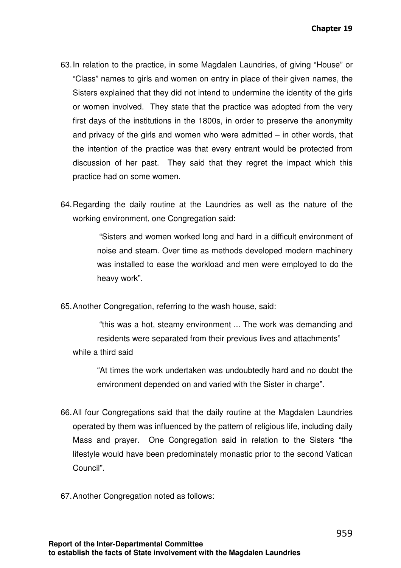- 63. In relation to the practice, in some Magdalen Laundries, of giving "House" or "Class" names to girls and women on entry in place of their given names, the Sisters explained that they did not intend to undermine the identity of the girls or women involved. They state that the practice was adopted from the very first days of the institutions in the 1800s, in order to preserve the anonymity and privacy of the girls and women who were admitted – in other words, that the intention of the practice was that every entrant would be protected from discussion of her past. They said that they regret the impact which this practice had on some women.
- 64. Regarding the daily routine at the Laundries as well as the nature of the working environment, one Congregation said:

 "Sisters and women worked long and hard in a difficult environment of noise and steam. Over time as methods developed modern machinery was installed to ease the workload and men were employed to do the heavy work".

65. Another Congregation, referring to the wash house, said:

 "this was a hot, steamy environment ... The work was demanding and residents were separated from their previous lives and attachments" while a third said

"At times the work undertaken was undoubtedly hard and no doubt the environment depended on and varied with the Sister in charge".

- 66. All four Congregations said that the daily routine at the Magdalen Laundries operated by them was influenced by the pattern of religious life, including daily Mass and prayer. One Congregation said in relation to the Sisters "the lifestyle would have been predominately monastic prior to the second Vatican Council".
- 67. Another Congregation noted as follows: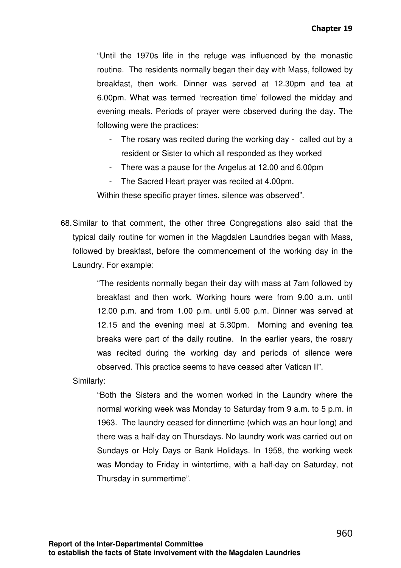"Until the 1970s life in the refuge was influenced by the monastic routine. The residents normally began their day with Mass, followed by breakfast, then work. Dinner was served at 12.30pm and tea at 6.00pm. What was termed 'recreation time' followed the midday and evening meals. Periods of prayer were observed during the day. The following were the practices:

- The rosary was recited during the working day called out by a resident or Sister to which all responded as they worked
- There was a pause for the Angelus at 12.00 and 6.00pm
- The Sacred Heart prayer was recited at 4.00pm.

Within these specific prayer times, silence was observed".

68. Similar to that comment, the other three Congregations also said that the typical daily routine for women in the Magdalen Laundries began with Mass, followed by breakfast, before the commencement of the working day in the Laundry. For example:

> "The residents normally began their day with mass at 7am followed by breakfast and then work. Working hours were from 9.00 a.m. until 12.00 p.m. and from 1.00 p.m. until 5.00 p.m. Dinner was served at 12.15 and the evening meal at 5.30pm. Morning and evening tea breaks were part of the daily routine. In the earlier years, the rosary was recited during the working day and periods of silence were observed. This practice seems to have ceased after Vatican II".

Similarly:

"Both the Sisters and the women worked in the Laundry where the normal working week was Monday to Saturday from 9 a.m. to 5 p.m. in 1963. The laundry ceased for dinnertime (which was an hour long) and there was a half-day on Thursdays. No laundry work was carried out on Sundays or Holy Days or Bank Holidays. In 1958, the working week was Monday to Friday in wintertime, with a half-day on Saturday, not Thursday in summertime".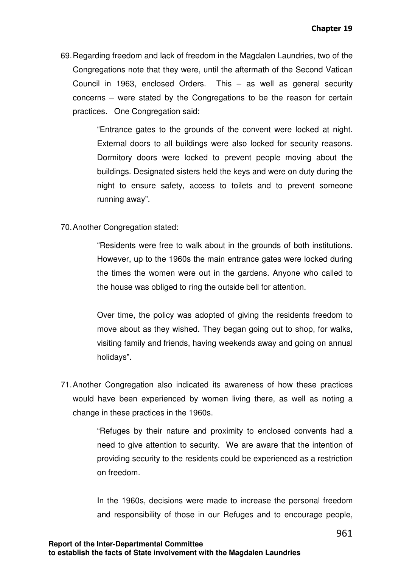69. Regarding freedom and lack of freedom in the Magdalen Laundries, two of the Congregations note that they were, until the aftermath of the Second Vatican Council in 1963, enclosed Orders. This – as well as general security concerns – were stated by the Congregations to be the reason for certain practices. One Congregation said:

> "Entrance gates to the grounds of the convent were locked at night. External doors to all buildings were also locked for security reasons. Dormitory doors were locked to prevent people moving about the buildings. Designated sisters held the keys and were on duty during the night to ensure safety, access to toilets and to prevent someone running away".

70. Another Congregation stated:

"Residents were free to walk about in the grounds of both institutions. However, up to the 1960s the main entrance gates were locked during the times the women were out in the gardens. Anyone who called to the house was obliged to ring the outside bell for attention.

Over time, the policy was adopted of giving the residents freedom to move about as they wished. They began going out to shop, for walks, visiting family and friends, having weekends away and going on annual holidays".

71. Another Congregation also indicated its awareness of how these practices would have been experienced by women living there, as well as noting a change in these practices in the 1960s.

> "Refuges by their nature and proximity to enclosed convents had a need to give attention to security. We are aware that the intention of providing security to the residents could be experienced as a restriction on freedom.

> In the 1960s, decisions were made to increase the personal freedom and responsibility of those in our Refuges and to encourage people,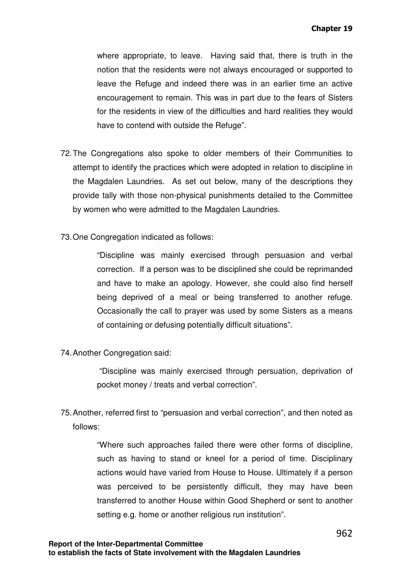where appropriate, to leave. Having said that, there is truth in the notion that the residents were not always encouraged or supported to leave the Refuge and indeed there was in an earlier time an active encouragement to remain. This was in part due to the fears of Sisters for the residents in view of the difficulties and hard realities they would have to contend with outside the Refuge".

- 72. The Congregations also spoke to older members of their Communities to attempt to identify the practices which were adopted in relation to discipline in the Magdalen Laundries. As set out below, many of the descriptions they provide tally with those non-physical punishments detailed to the Committee by women who were admitted to the Magdalen Laundries.
- 73. One Congregation indicated as follows:

"Discipline was mainly exercised through persuasion and verbal correction. If a person was to be disciplined she could be reprimanded and have to make an apology. However, she could also find herself being deprived of a meal or being transferred to another refuge. Occasionally the call to prayer was used by some Sisters as a means of containing or defusing potentially difficult situations".

74. Another Congregation said:

 "Discipline was mainly exercised through persuation, deprivation of pocket money / treats and verbal correction".

75. Another, referred first to "persuasion and verbal correction", and then noted as follows:

> "Where such approaches failed there were other forms of discipline, such as having to stand or kneel for a period of time. Disciplinary actions would have varied from House to House. Ultimately if a person was perceived to be persistently difficult, they may have been transferred to another House within Good Shepherd or sent to another setting e.g. home or another religious run institution".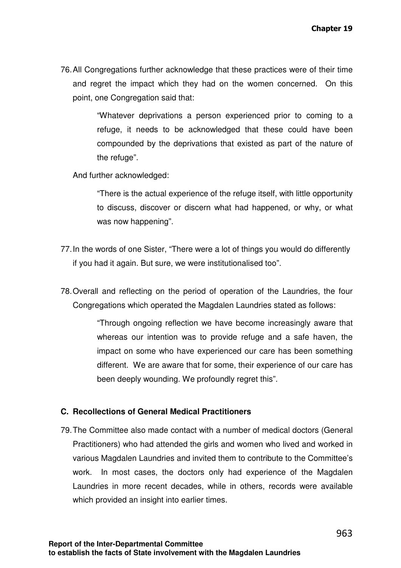76. All Congregations further acknowledge that these practices were of their time and regret the impact which they had on the women concerned. On this point, one Congregation said that:

> "Whatever deprivations a person experienced prior to coming to a refuge, it needs to be acknowledged that these could have been compounded by the deprivations that existed as part of the nature of the refuge".

And further acknowledged:

"There is the actual experience of the refuge itself, with little opportunity to discuss, discover or discern what had happened, or why, or what was now happening".

- 77. In the words of one Sister, "There were a lot of things you would do differently if you had it again. But sure, we were institutionalised too".
- 78. Overall and reflecting on the period of operation of the Laundries, the four Congregations which operated the Magdalen Laundries stated as follows:

"Through ongoing reflection we have become increasingly aware that whereas our intention was to provide refuge and a safe haven, the impact on some who have experienced our care has been something different. We are aware that for some, their experience of our care has been deeply wounding. We profoundly regret this".

#### **C. Recollections of General Medical Practitioners**

79. The Committee also made contact with a number of medical doctors (General Practitioners) who had attended the girls and women who lived and worked in various Magdalen Laundries and invited them to contribute to the Committee's work. In most cases, the doctors only had experience of the Magdalen Laundries in more recent decades, while in others, records were available which provided an insight into earlier times.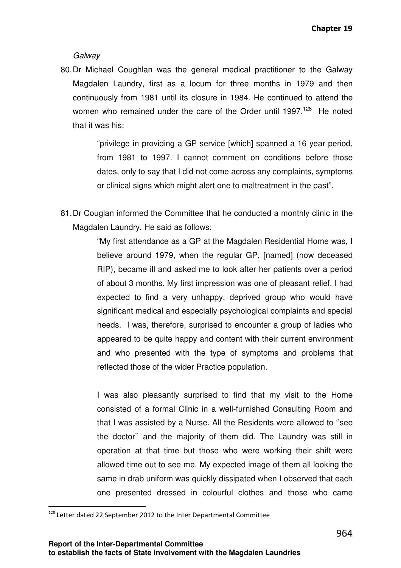**Galwav** 

80. Dr Michael Coughlan was the general medical practitioner to the Galway Magdalen Laundry, first as a locum for three months in 1979 and then continuously from 1981 until its closure in 1984. He continued to attend the women who remained under the care of the Order until 1997.<sup>128</sup> He noted that it was his:

> "privilege in providing a GP service [which] spanned a 16 year period, from 1981 to 1997. I cannot comment on conditions before those dates, only to say that I did not come across any complaints, symptoms or clinical signs which might alert one to maltreatment in the past".

81. Dr Couglan informed the Committee that he conducted a monthly clinic in the Magdalen Laundry. He said as follows:

> "My first attendance as a GP at the Magdalen Residential Home was, I believe around 1979, when the regular GP, [named] (now deceased RIP), became ill and asked me to look after her patients over a period of about 3 months. My first impression was one of pleasant relief. I had expected to find a very unhappy, deprived group who would have significant medical and especially psychological complaints and special needs. I was, therefore, surprised to encounter a group of ladies who appeared to be quite happy and content with their current environment and who presented with the type of symptoms and problems that reflected those of the wider Practice population.

> I was also pleasantly surprised to find that my visit to the Home consisted of a formal Clinic in a well-furnished Consulting Room and that I was assisted by a Nurse. All the Residents were allowed to ''see the doctor'' and the majority of them did. The Laundry was still in operation at that time but those who were working their shift were allowed time out to see me. My expected image of them all looking the same in drab uniform was quickly dissipated when I observed that each one presented dressed in colourful clothes and those who came

l

<sup>&</sup>lt;sup>128</sup> Letter dated 22 September 2012 to the Inter Departmental Committee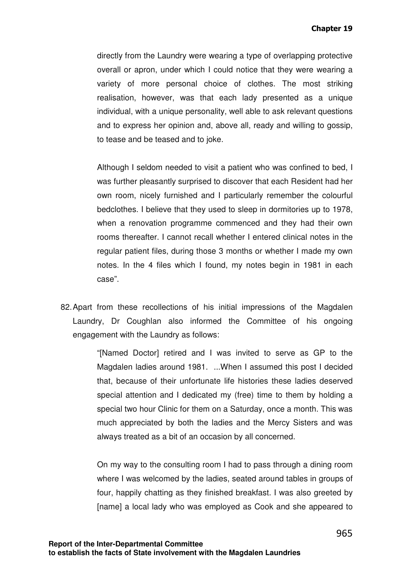directly from the Laundry were wearing a type of overlapping protective overall or apron, under which I could notice that they were wearing a variety of more personal choice of clothes. The most striking realisation, however, was that each lady presented as a unique individual, with a unique personality, well able to ask relevant questions and to express her opinion and, above all, ready and willing to gossip, to tease and be teased and to joke.

Although I seldom needed to visit a patient who was confined to bed, I was further pleasantly surprised to discover that each Resident had her own room, nicely furnished and I particularly remember the colourful bedclothes. I believe that they used to sleep in dormitories up to 1978, when a renovation programme commenced and they had their own rooms thereafter. I cannot recall whether I entered clinical notes in the regular patient files, during those 3 months or whether I made my own notes. In the 4 files which I found, my notes begin in 1981 in each case".

82. Apart from these recollections of his initial impressions of the Magdalen Laundry, Dr Coughlan also informed the Committee of his ongoing engagement with the Laundry as follows:

> "[Named Doctor] retired and I was invited to serve as GP to the Magdalen ladies around 1981. ...When I assumed this post I decided that, because of their unfortunate life histories these ladies deserved special attention and I dedicated my (free) time to them by holding a special two hour Clinic for them on a Saturday, once a month. This was much appreciated by both the ladies and the Mercy Sisters and was always treated as a bit of an occasion by all concerned.

> On my way to the consulting room I had to pass through a dining room where I was welcomed by the ladies, seated around tables in groups of four, happily chatting as they finished breakfast. I was also greeted by [name] a local lady who was employed as Cook and she appeared to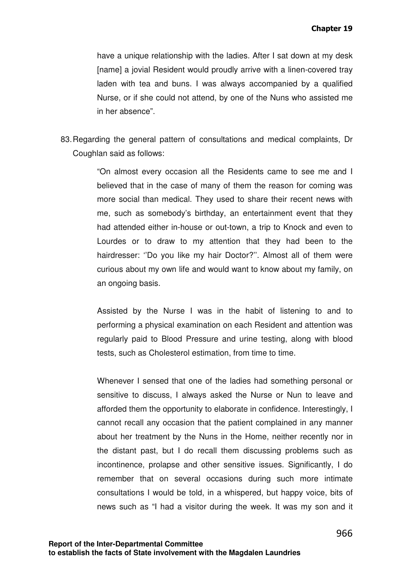have a unique relationship with the ladies. After I sat down at my desk [name] a jovial Resident would proudly arrive with a linen-covered tray laden with tea and buns. I was always accompanied by a qualified Nurse, or if she could not attend, by one of the Nuns who assisted me in her absence".

83. Regarding the general pattern of consultations and medical complaints, Dr Coughlan said as follows:

> "On almost every occasion all the Residents came to see me and I believed that in the case of many of them the reason for coming was more social than medical. They used to share their recent news with me, such as somebody's birthday, an entertainment event that they had attended either in-house or out-town, a trip to Knock and even to Lourdes or to draw to my attention that they had been to the hairdresser: ''Do you like my hair Doctor?''. Almost all of them were curious about my own life and would want to know about my family, on an ongoing basis.

> Assisted by the Nurse I was in the habit of listening to and to performing a physical examination on each Resident and attention was regularly paid to Blood Pressure and urine testing, along with blood tests, such as Cholesterol estimation, from time to time.

> Whenever I sensed that one of the ladies had something personal or sensitive to discuss, I always asked the Nurse or Nun to leave and afforded them the opportunity to elaborate in confidence. Interestingly, I cannot recall any occasion that the patient complained in any manner about her treatment by the Nuns in the Home, neither recently nor in the distant past, but I do recall them discussing problems such as incontinence, prolapse and other sensitive issues. Significantly, I do remember that on several occasions during such more intimate consultations I would be told, in a whispered, but happy voice, bits of news such as "I had a visitor during the week. It was my son and it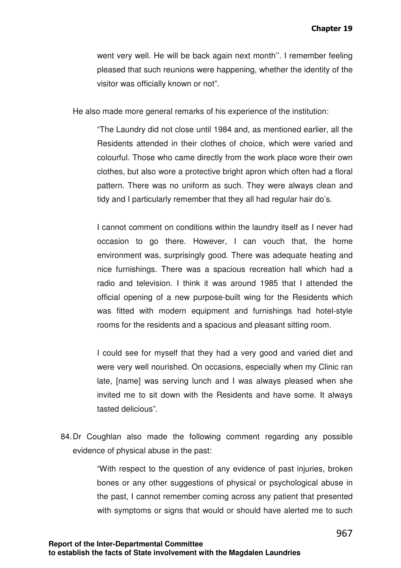went very well. He will be back again next month''. I remember feeling pleased that such reunions were happening, whether the identity of the visitor was officially known or not".

He also made more general remarks of his experience of the institution:

"The Laundry did not close until 1984 and, as mentioned earlier, all the Residents attended in their clothes of choice, which were varied and colourful. Those who came directly from the work place wore their own clothes, but also wore a protective bright apron which often had a floral pattern. There was no uniform as such. They were always clean and tidy and I particularly remember that they all had regular hair do's.

I cannot comment on conditions within the laundry itself as I never had occasion to go there. However, I can vouch that, the home environment was, surprisingly good. There was adequate heating and nice furnishings. There was a spacious recreation hall which had a radio and television. I think it was around 1985 that I attended the official opening of a new purpose-built wing for the Residents which was fitted with modern equipment and furnishings had hotel-style rooms for the residents and a spacious and pleasant sitting room.

I could see for myself that they had a very good and varied diet and were very well nourished. On occasions, especially when my Clinic ran late, [name] was serving lunch and I was always pleased when she invited me to sit down with the Residents and have some. It always tasted delicious".

84. Dr Coughlan also made the following comment regarding any possible evidence of physical abuse in the past:

> "With respect to the question of any evidence of past injuries, broken bones or any other suggestions of physical or psychological abuse in the past, I cannot remember coming across any patient that presented with symptoms or signs that would or should have alerted me to such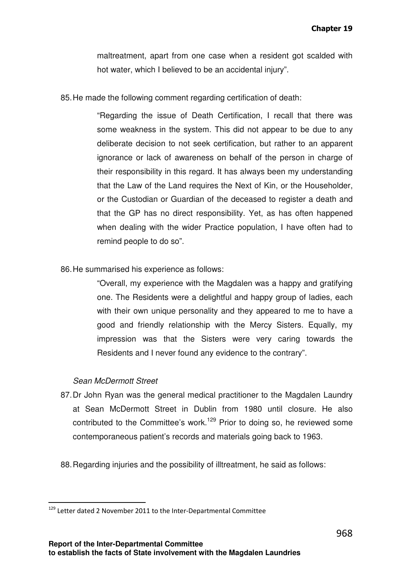maltreatment, apart from one case when a resident got scalded with hot water, which I believed to be an accidental injury".

85. He made the following comment regarding certification of death:

"Regarding the issue of Death Certification, I recall that there was some weakness in the system. This did not appear to be due to any deliberate decision to not seek certification, but rather to an apparent ignorance or lack of awareness on behalf of the person in charge of their responsibility in this regard. It has always been my understanding that the Law of the Land requires the Next of Kin, or the Householder, or the Custodian or Guardian of the deceased to register a death and that the GP has no direct responsibility. Yet, as has often happened when dealing with the wider Practice population, I have often had to remind people to do so".

86. He summarised his experience as follows:

"Overall, my experience with the Magdalen was a happy and gratifying one. The Residents were a delightful and happy group of ladies, each with their own unique personality and they appeared to me to have a good and friendly relationship with the Mercy Sisters. Equally, my impression was that the Sisters were very caring towards the Residents and I never found any evidence to the contrary".

#### Sean McDermott Street

l

- 87. Dr John Ryan was the general medical practitioner to the Magdalen Laundry at Sean McDermott Street in Dublin from 1980 until closure. He also contributed to the Committee's work.<sup>129</sup> Prior to doing so, he reviewed some contemporaneous patient's records and materials going back to 1963.
- 88. Regarding injuries and the possibility of illtreatment, he said as follows:

<sup>&</sup>lt;sup>129</sup> Letter dated 2 November 2011 to the Inter-Departmental Committee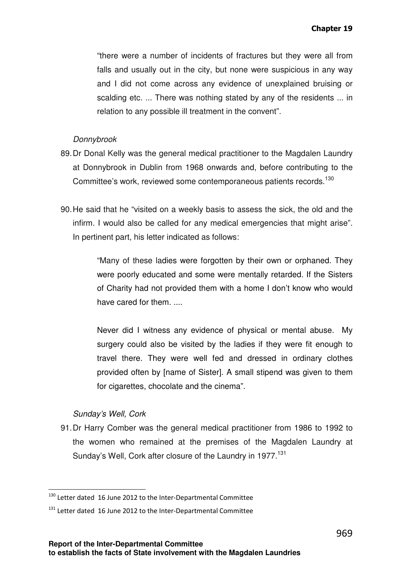"there were a number of incidents of fractures but they were all from falls and usually out in the city, but none were suspicious in any way and I did not come across any evidence of unexplained bruising or scalding etc. ... There was nothing stated by any of the residents ... in relation to any possible ill treatment in the convent".

#### Donnybrook

- 89. Dr Donal Kelly was the general medical practitioner to the Magdalen Laundry at Donnybrook in Dublin from 1968 onwards and, before contributing to the Committee's work, reviewed some contemporaneous patients records.<sup>130</sup>
- 90. He said that he "visited on a weekly basis to assess the sick, the old and the infirm. I would also be called for any medical emergencies that might arise". In pertinent part, his letter indicated as follows:

"Many of these ladies were forgotten by their own or orphaned. They were poorly educated and some were mentally retarded. If the Sisters of Charity had not provided them with a home I don't know who would have cared for them. ....

Never did I witness any evidence of physical or mental abuse. My surgery could also be visited by the ladies if they were fit enough to travel there. They were well fed and dressed in ordinary clothes provided often by [name of Sister]. A small stipend was given to them for cigarettes, chocolate and the cinema".

#### Sunday's Well, Cork

 $\overline{a}$ 

91. Dr Harry Comber was the general medical practitioner from 1986 to 1992 to the women who remained at the premises of the Magdalen Laundry at Sunday's Well, Cork after closure of the Laundry in 1977.<sup>131</sup>

<sup>&</sup>lt;sup>130</sup> Letter dated 16 June 2012 to the Inter-Departmental Committee

 $131$  Letter dated 16 June 2012 to the Inter-Departmental Committee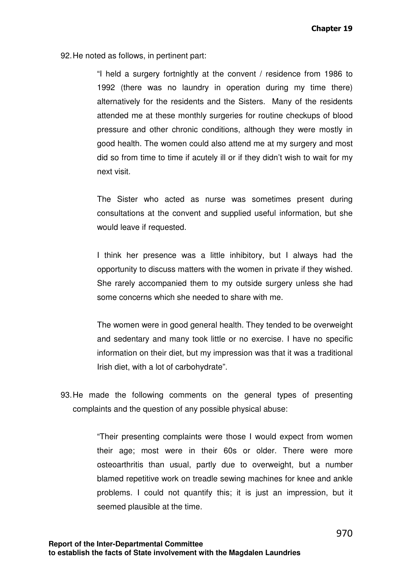92. He noted as follows, in pertinent part:

"I held a surgery fortnightly at the convent / residence from 1986 to 1992 (there was no laundry in operation during my time there) alternatively for the residents and the Sisters. Many of the residents attended me at these monthly surgeries for routine checkups of blood pressure and other chronic conditions, although they were mostly in good health. The women could also attend me at my surgery and most did so from time to time if acutely ill or if they didn't wish to wait for my next visit.

The Sister who acted as nurse was sometimes present during consultations at the convent and supplied useful information, but she would leave if requested.

I think her presence was a little inhibitory, but I always had the opportunity to discuss matters with the women in private if they wished. She rarely accompanied them to my outside surgery unless she had some concerns which she needed to share with me.

The women were in good general health. They tended to be overweight and sedentary and many took little or no exercise. I have no specific information on their diet, but my impression was that it was a traditional Irish diet, with a lot of carbohydrate".

93. He made the following comments on the general types of presenting complaints and the question of any possible physical abuse:

> "Their presenting complaints were those I would expect from women their age; most were in their 60s or older. There were more osteoarthritis than usual, partly due to overweight, but a number blamed repetitive work on treadle sewing machines for knee and ankle problems. I could not quantify this; it is just an impression, but it seemed plausible at the time.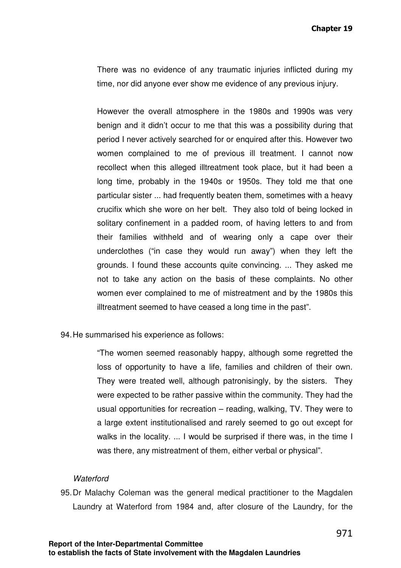There was no evidence of any traumatic injuries inflicted during my time, nor did anyone ever show me evidence of any previous injury.

However the overall atmosphere in the 1980s and 1990s was very benign and it didn't occur to me that this was a possibility during that period I never actively searched for or enquired after this. However two women complained to me of previous ill treatment. I cannot now recollect when this alleged illtreatment took place, but it had been a long time, probably in the 1940s or 1950s. They told me that one particular sister ... had frequently beaten them, sometimes with a heavy crucifix which she wore on her belt. They also told of being locked in solitary confinement in a padded room, of having letters to and from their families withheld and of wearing only a cape over their underclothes ("in case they would run away") when they left the grounds. I found these accounts quite convincing. ... They asked me not to take any action on the basis of these complaints. No other women ever complained to me of mistreatment and by the 1980s this illtreatment seemed to have ceased a long time in the past".

94. He summarised his experience as follows:

"The women seemed reasonably happy, although some regretted the loss of opportunity to have a life, families and children of their own. They were treated well, although patronisingly, by the sisters. They were expected to be rather passive within the community. They had the usual opportunities for recreation – reading, walking, TV. They were to a large extent institutionalised and rarely seemed to go out except for walks in the locality. ... I would be surprised if there was, in the time I was there, any mistreatment of them, either verbal or physical".

#### **Waterford**

95. Dr Malachy Coleman was the general medical practitioner to the Magdalen Laundry at Waterford from 1984 and, after closure of the Laundry, for the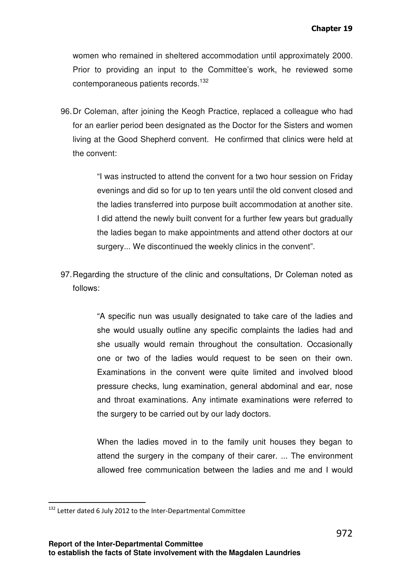women who remained in sheltered accommodation until approximately 2000. Prior to providing an input to the Committee's work, he reviewed some contemporaneous patients records.<sup>132</sup>

96. Dr Coleman, after joining the Keogh Practice, replaced a colleague who had for an earlier period been designated as the Doctor for the Sisters and women living at the Good Shepherd convent. He confirmed that clinics were held at the convent:

> "I was instructed to attend the convent for a two hour session on Friday evenings and did so for up to ten years until the old convent closed and the ladies transferred into purpose built accommodation at another site. I did attend the newly built convent for a further few years but gradually the ladies began to make appointments and attend other doctors at our surgery... We discontinued the weekly clinics in the convent".

97. Regarding the structure of the clinic and consultations, Dr Coleman noted as follows:

> "A specific nun was usually designated to take care of the ladies and she would usually outline any specific complaints the ladies had and she usually would remain throughout the consultation. Occasionally one or two of the ladies would request to be seen on their own. Examinations in the convent were quite limited and involved blood pressure checks, lung examination, general abdominal and ear, nose and throat examinations. Any intimate examinations were referred to the surgery to be carried out by our lady doctors.

> When the ladies moved in to the family unit houses they began to attend the surgery in the company of their carer. ... The environment allowed free communication between the ladies and me and I would

l

<sup>132</sup> Letter dated 6 July 2012 to the Inter-Departmental Committee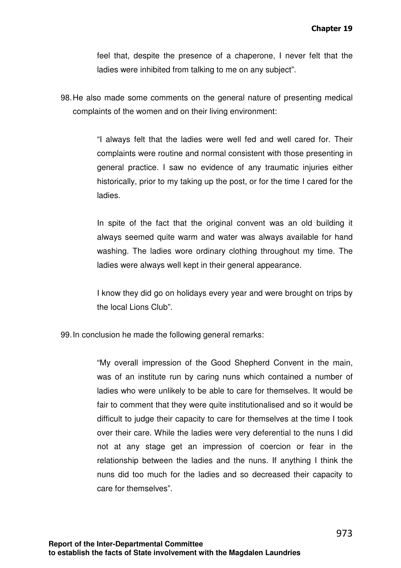feel that, despite the presence of a chaperone, I never felt that the ladies were inhibited from talking to me on any subject".

98. He also made some comments on the general nature of presenting medical complaints of the women and on their living environment:

> "I always felt that the ladies were well fed and well cared for. Their complaints were routine and normal consistent with those presenting in general practice. I saw no evidence of any traumatic injuries either historically, prior to my taking up the post, or for the time I cared for the ladies.

> In spite of the fact that the original convent was an old building it always seemed quite warm and water was always available for hand washing. The ladies wore ordinary clothing throughout my time. The ladies were always well kept in their general appearance.

> I know they did go on holidays every year and were brought on trips by the local Lions Club".

99. In conclusion he made the following general remarks:

"My overall impression of the Good Shepherd Convent in the main, was of an institute run by caring nuns which contained a number of ladies who were unlikely to be able to care for themselves. It would be fair to comment that they were quite institutionalised and so it would be difficult to judge their capacity to care for themselves at the time I took over their care. While the ladies were very deferential to the nuns I did not at any stage get an impression of coercion or fear in the relationship between the ladies and the nuns. If anything I think the nuns did too much for the ladies and so decreased their capacity to care for themselves".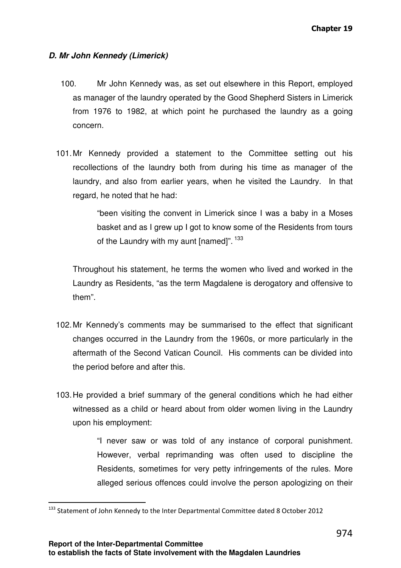# **D. Mr John Kennedy (Limerick)**

- 100. Mr John Kennedy was, as set out elsewhere in this Report, employed as manager of the laundry operated by the Good Shepherd Sisters in Limerick from 1976 to 1982, at which point he purchased the laundry as a going concern.
- 101. Mr Kennedy provided a statement to the Committee setting out his recollections of the laundry both from during his time as manager of the laundry, and also from earlier years, when he visited the Laundry. In that regard, he noted that he had:

"been visiting the convent in Limerick since I was a baby in a Moses basket and as I grew up I got to know some of the Residents from tours of the Laundry with my aunt [named]".<sup>133</sup>

Throughout his statement, he terms the women who lived and worked in the Laundry as Residents, "as the term Magdalene is derogatory and offensive to them".

- 102. Mr Kennedy's comments may be summarised to the effect that significant changes occurred in the Laundry from the 1960s, or more particularly in the aftermath of the Second Vatican Council. His comments can be divided into the period before and after this.
- 103. He provided a brief summary of the general conditions which he had either witnessed as a child or heard about from older women living in the Laundry upon his employment:

"I never saw or was told of any instance of corporal punishment. However, verbal reprimanding was often used to discipline the Residents, sometimes for very petty infringements of the rules. More alleged serious offences could involve the person apologizing on their

l

<sup>133</sup> Statement of John Kennedy to the Inter Departmental Committee dated 8 October 2012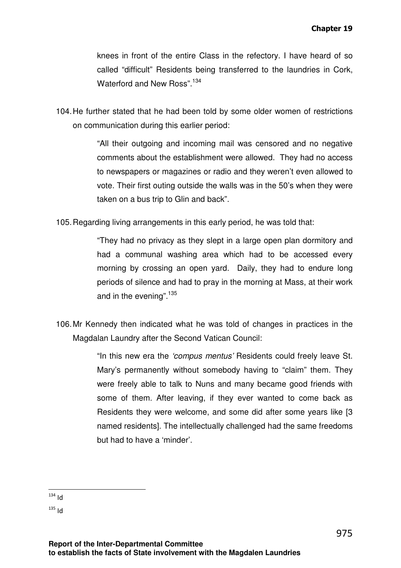knees in front of the entire Class in the refectory. I have heard of so called "difficult" Residents being transferred to the laundries in Cork, Waterford and New Ross".<sup>134</sup>

104. He further stated that he had been told by some older women of restrictions on communication during this earlier period:

> "All their outgoing and incoming mail was censored and no negative comments about the establishment were allowed. They had no access to newspapers or magazines or radio and they weren't even allowed to vote. Their first outing outside the walls was in the 50's when they were taken on a bus trip to Glin and back".

105. Regarding living arrangements in this early period, he was told that:

"They had no privacy as they slept in a large open plan dormitory and had a communal washing area which had to be accessed every morning by crossing an open yard. Daily, they had to endure long periods of silence and had to pray in the morning at Mass, at their work and in the evening".<sup>135</sup>

106. Mr Kennedy then indicated what he was told of changes in practices in the Magdalan Laundry after the Second Vatican Council:

> "In this new era the 'compus mentus' Residents could freely leave St. Mary's permanently without somebody having to "claim" them. They were freely able to talk to Nuns and many became good friends with some of them. After leaving, if they ever wanted to come back as Residents they were welcome, and some did after some years like [3 named residents]. The intellectually challenged had the same freedoms but had to have a 'minder'.

 $\overline{a}$  $134$  Id

 $135$  Id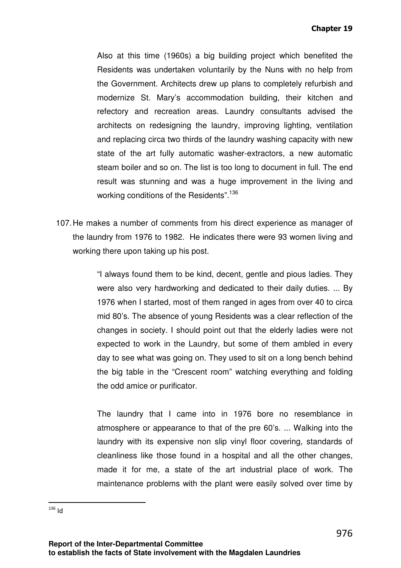Also at this time (1960s) a big building project which benefited the Residents was undertaken voluntarily by the Nuns with no help from the Government. Architects drew up plans to completely refurbish and modernize St. Mary's accommodation building, their kitchen and refectory and recreation areas. Laundry consultants advised the architects on redesigning the laundry, improving lighting, ventilation and replacing circa two thirds of the laundry washing capacity with new state of the art fully automatic washer-extractors, a new automatic steam boiler and so on. The list is too long to document in full. The end result was stunning and was a huge improvement in the living and working conditions of the Residents".<sup>136</sup>

107. He makes a number of comments from his direct experience as manager of the laundry from 1976 to 1982. He indicates there were 93 women living and working there upon taking up his post.

> "I always found them to be kind, decent, gentle and pious ladies. They were also very hardworking and dedicated to their daily duties. ... By 1976 when I started, most of them ranged in ages from over 40 to circa mid 80's. The absence of young Residents was a clear reflection of the changes in society. I should point out that the elderly ladies were not expected to work in the Laundry, but some of them ambled in every day to see what was going on. They used to sit on a long bench behind the big table in the "Crescent room" watching everything and folding the odd amice or purificator.

> The laundry that I came into in 1976 bore no resemblance in atmosphere or appearance to that of the pre 60's. ... Walking into the laundry with its expensive non slip vinyl floor covering, standards of cleanliness like those found in a hospital and all the other changes, made it for me, a state of the art industrial place of work. The maintenance problems with the plant were easily solved over time by

l

 $136$  Id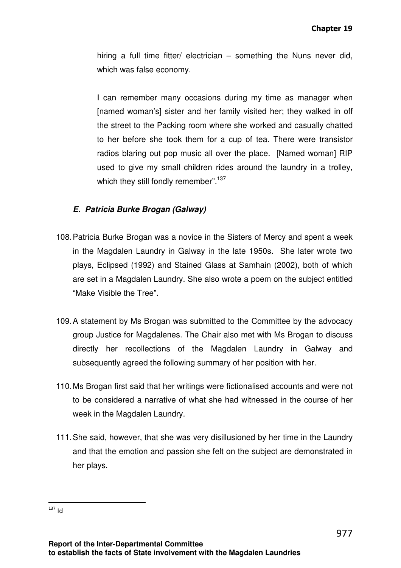hiring a full time fitter/ electrician – something the Nuns never did, which was false economy.

I can remember many occasions during my time as manager when [named woman's] sister and her family visited her; they walked in off the street to the Packing room where she worked and casually chatted to her before she took them for a cup of tea. There were transistor radios blaring out pop music all over the place. [Named woman] RIP used to give my small children rides around the laundry in a trolley, which they still fondly remember".<sup>137</sup>

# **E. Patricia Burke Brogan (Galway)**

- 108. Patricia Burke Brogan was a novice in the Sisters of Mercy and spent a week in the Magdalen Laundry in Galway in the late 1950s. She later wrote two plays, Eclipsed (1992) and Stained Glass at Samhain (2002), both of which are set in a Magdalen Laundry. She also wrote a poem on the subject entitled "Make Visible the Tree".
- 109. A statement by Ms Brogan was submitted to the Committee by the advocacy group Justice for Magdalenes. The Chair also met with Ms Brogan to discuss directly her recollections of the Magdalen Laundry in Galway and subsequently agreed the following summary of her position with her.
- 110. Ms Brogan first said that her writings were fictionalised accounts and were not to be considered a narrative of what she had witnessed in the course of her week in the Magdalen Laundry.
- 111. She said, however, that she was very disillusioned by her time in the Laundry and that the emotion and passion she felt on the subject are demonstrated in her plays.

l  $137$  Id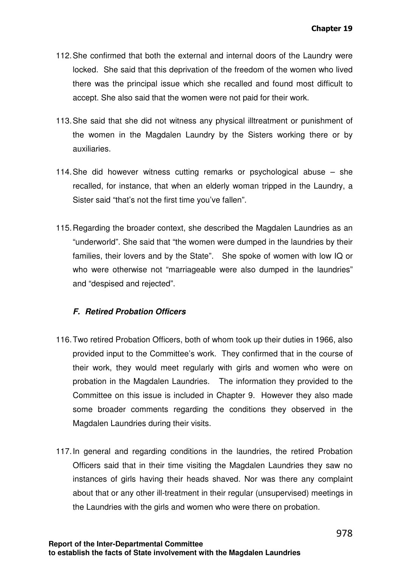- 112. She confirmed that both the external and internal doors of the Laundry were locked. She said that this deprivation of the freedom of the women who lived there was the principal issue which she recalled and found most difficult to accept. She also said that the women were not paid for their work.
- 113. She said that she did not witness any physical illtreatment or punishment of the women in the Magdalen Laundry by the Sisters working there or by auxiliaries.
- 114. She did however witness cutting remarks or psychological abuse she recalled, for instance, that when an elderly woman tripped in the Laundry, a Sister said "that's not the first time you've fallen".
- 115. Regarding the broader context, she described the Magdalen Laundries as an "underworld". She said that "the women were dumped in the laundries by their families, their lovers and by the State". She spoke of women with low IQ or who were otherwise not "marriageable were also dumped in the laundries" and "despised and rejected".

# **F. Retired Probation Officers**

- 116. Two retired Probation Officers, both of whom took up their duties in 1966, also provided input to the Committee's work. They confirmed that in the course of their work, they would meet regularly with girls and women who were on probation in the Magdalen Laundries. The information they provided to the Committee on this issue is included in Chapter 9. However they also made some broader comments regarding the conditions they observed in the Magdalen Laundries during their visits.
- 117. In general and regarding conditions in the laundries, the retired Probation Officers said that in their time visiting the Magdalen Laundries they saw no instances of girls having their heads shaved. Nor was there any complaint about that or any other ill-treatment in their regular (unsupervised) meetings in the Laundries with the girls and women who were there on probation.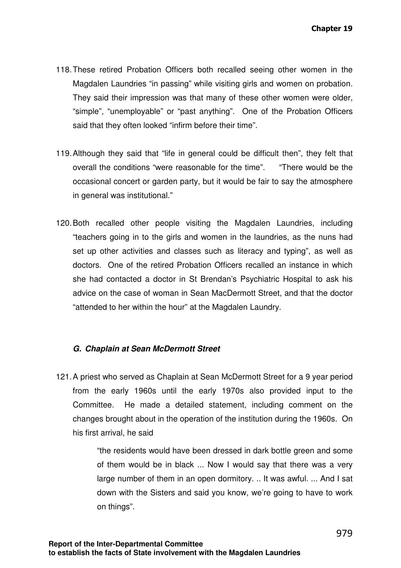- 118. These retired Probation Officers both recalled seeing other women in the Magdalen Laundries "in passing" while visiting girls and women on probation. They said their impression was that many of these other women were older, "simple", "unemployable" or "past anything". One of the Probation Officers said that they often looked "infirm before their time".
- 119. Although they said that "life in general could be difficult then", they felt that overall the conditions "were reasonable for the time". "There would be the occasional concert or garden party, but it would be fair to say the atmosphere in general was institutional."
- 120. Both recalled other people visiting the Magdalen Laundries, including "teachers going in to the girls and women in the laundries, as the nuns had set up other activities and classes such as literacy and typing", as well as doctors. One of the retired Probation Officers recalled an instance in which she had contacted a doctor in St Brendan's Psychiatric Hospital to ask his advice on the case of woman in Sean MacDermott Street, and that the doctor "attended to her within the hour" at the Magdalen Laundry.

# **G. Chaplain at Sean McDermott Street**

121. A priest who served as Chaplain at Sean McDermott Street for a 9 year period from the early 1960s until the early 1970s also provided input to the Committee. He made a detailed statement, including comment on the changes brought about in the operation of the institution during the 1960s. On his first arrival, he said

> "the residents would have been dressed in dark bottle green and some of them would be in black ... Now I would say that there was a very large number of them in an open dormitory. .. It was awful. ... And I sat down with the Sisters and said you know, we're going to have to work on things".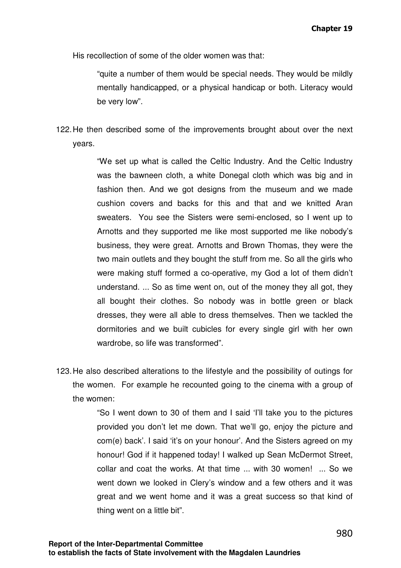His recollection of some of the older women was that:

"quite a number of them would be special needs. They would be mildly mentally handicapped, or a physical handicap or both. Literacy would be very low".

122. He then described some of the improvements brought about over the next years.

> "We set up what is called the Celtic Industry. And the Celtic Industry was the bawneen cloth, a white Donegal cloth which was big and in fashion then. And we got designs from the museum and we made cushion covers and backs for this and that and we knitted Aran sweaters. You see the Sisters were semi-enclosed, so I went up to Arnotts and they supported me like most supported me like nobody's business, they were great. Arnotts and Brown Thomas, they were the two main outlets and they bought the stuff from me. So all the girls who were making stuff formed a co-operative, my God a lot of them didn't understand. ... So as time went on, out of the money they all got, they all bought their clothes. So nobody was in bottle green or black dresses, they were all able to dress themselves. Then we tackled the dormitories and we built cubicles for every single girl with her own wardrobe, so life was transformed".

123. He also described alterations to the lifestyle and the possibility of outings for the women. For example he recounted going to the cinema with a group of the women:

> "So I went down to 30 of them and I said 'I'll take you to the pictures provided you don't let me down. That we'll go, enjoy the picture and com(e) back'. I said 'it's on your honour'. And the Sisters agreed on my honour! God if it happened today! I walked up Sean McDermot Street, collar and coat the works. At that time ... with 30 women! ... So we went down we looked in Clery's window and a few others and it was great and we went home and it was a great success so that kind of thing went on a little bit".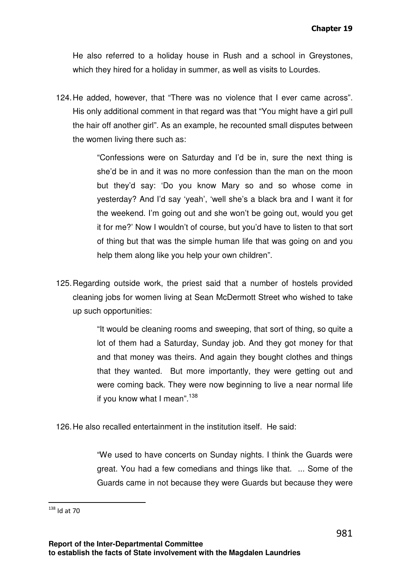He also referred to a holiday house in Rush and a school in Greystones, which they hired for a holiday in summer, as well as visits to Lourdes.

124. He added, however, that "There was no violence that I ever came across". His only additional comment in that regard was that "You might have a girl pull the hair off another girl". As an example, he recounted small disputes between the women living there such as:

> "Confessions were on Saturday and I'd be in, sure the next thing is she'd be in and it was no more confession than the man on the moon but they'd say: 'Do you know Mary so and so whose come in yesterday? And I'd say 'yeah', 'well she's a black bra and I want it for the weekend. I'm going out and she won't be going out, would you get it for me?' Now I wouldn't of course, but you'd have to listen to that sort of thing but that was the simple human life that was going on and you help them along like you help your own children".

125. Regarding outside work, the priest said that a number of hostels provided cleaning jobs for women living at Sean McDermott Street who wished to take up such opportunities:

> "It would be cleaning rooms and sweeping, that sort of thing, so quite a lot of them had a Saturday, Sunday job. And they got money for that and that money was theirs. And again they bought clothes and things that they wanted. But more importantly, they were getting out and were coming back. They were now beginning to live a near normal life if you know what I mean". $138$

126. He also recalled entertainment in the institution itself. He said:

"We used to have concerts on Sunday nights. I think the Guards were great. You had a few comedians and things like that. ... Some of the Guards came in not because they were Guards but because they were

l

 $138$  Id at 70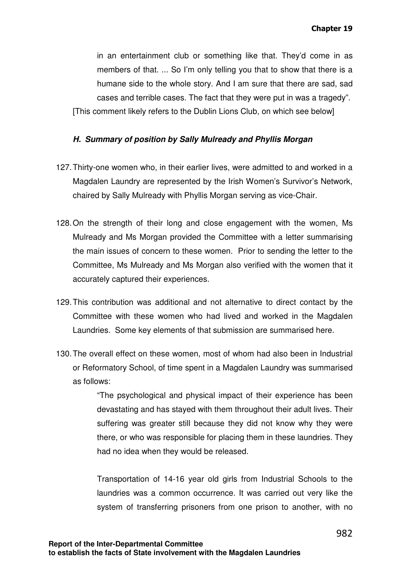in an entertainment club or something like that. They'd come in as members of that. ... So I'm only telling you that to show that there is a humane side to the whole story. And I am sure that there are sad, sad cases and terrible cases. The fact that they were put in was a tragedy". [This comment likely refers to the Dublin Lions Club, on which see below]

#### **H. Summary of position by Sally Mulready and Phyllis Morgan**

- 127. Thirty-one women who, in their earlier lives, were admitted to and worked in a Magdalen Laundry are represented by the Irish Women's Survivor's Network, chaired by Sally Mulready with Phyllis Morgan serving as vice-Chair.
- 128. On the strength of their long and close engagement with the women, Ms Mulready and Ms Morgan provided the Committee with a letter summarising the main issues of concern to these women. Prior to sending the letter to the Committee, Ms Mulready and Ms Morgan also verified with the women that it accurately captured their experiences.
- 129. This contribution was additional and not alternative to direct contact by the Committee with these women who had lived and worked in the Magdalen Laundries. Some key elements of that submission are summarised here.
- 130. The overall effect on these women, most of whom had also been in Industrial or Reformatory School, of time spent in a Magdalen Laundry was summarised as follows:

"The psychological and physical impact of their experience has been devastating and has stayed with them throughout their adult lives. Their suffering was greater still because they did not know why they were there, or who was responsible for placing them in these laundries. They had no idea when they would be released.

Transportation of 14-16 year old girls from Industrial Schools to the laundries was a common occurrence. It was carried out very like the system of transferring prisoners from one prison to another, with no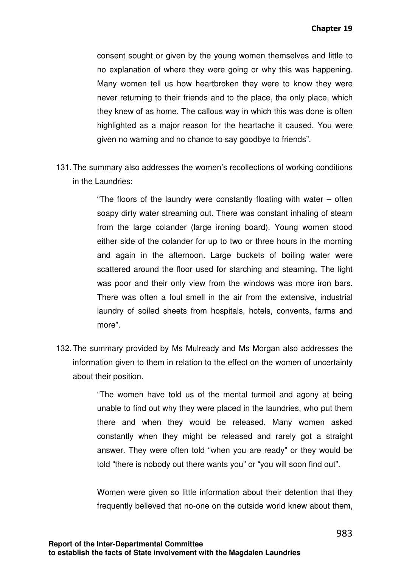consent sought or given by the young women themselves and little to no explanation of where they were going or why this was happening. Many women tell us how heartbroken they were to know they were never returning to their friends and to the place, the only place, which they knew of as home. The callous way in which this was done is often highlighted as a major reason for the heartache it caused. You were given no warning and no chance to say goodbye to friends".

131. The summary also addresses the women's recollections of working conditions in the Laundries:

> "The floors of the laundry were constantly floating with water – often soapy dirty water streaming out. There was constant inhaling of steam from the large colander (large ironing board). Young women stood either side of the colander for up to two or three hours in the morning and again in the afternoon. Large buckets of boiling water were scattered around the floor used for starching and steaming. The light was poor and their only view from the windows was more iron bars. There was often a foul smell in the air from the extensive, industrial laundry of soiled sheets from hospitals, hotels, convents, farms and more".

132. The summary provided by Ms Mulready and Ms Morgan also addresses the information given to them in relation to the effect on the women of uncertainty about their position.

> "The women have told us of the mental turmoil and agony at being unable to find out why they were placed in the laundries, who put them there and when they would be released. Many women asked constantly when they might be released and rarely got a straight answer. They were often told "when you are ready" or they would be told "there is nobody out there wants you" or "you will soon find out".

> Women were given so little information about their detention that they frequently believed that no-one on the outside world knew about them,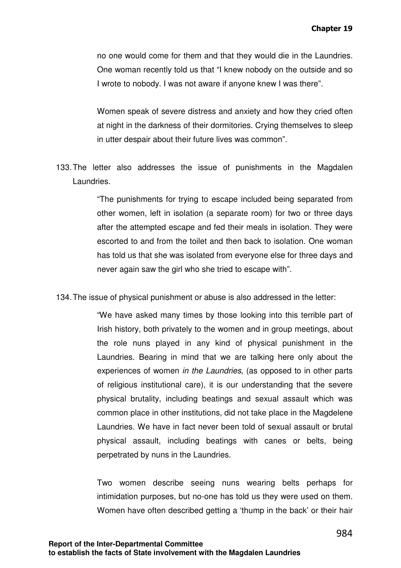no one would come for them and that they would die in the Laundries. One woman recently told us that "I knew nobody on the outside and so I wrote to nobody. I was not aware if anyone knew I was there".

Women speak of severe distress and anxiety and how they cried often at night in the darkness of their dormitories. Crying themselves to sleep in utter despair about their future lives was common".

133. The letter also addresses the issue of punishments in the Magdalen Laundries.

> "The punishments for trying to escape included being separated from other women, left in isolation (a separate room) for two or three days after the attempted escape and fed their meals in isolation. They were escorted to and from the toilet and then back to isolation. One woman has told us that she was isolated from everyone else for three days and never again saw the girl who she tried to escape with".

134. The issue of physical punishment or abuse is also addressed in the letter:

"We have asked many times by those looking into this terrible part of Irish history, both privately to the women and in group meetings, about the role nuns played in any kind of physical punishment in the Laundries. Bearing in mind that we are talking here only about the experiences of women in the Laundries, (as opposed to in other parts of religious institutional care), it is our understanding that the severe physical brutality, including beatings and sexual assault which was common place in other institutions, did not take place in the Magdelene Laundries. We have in fact never been told of sexual assault or brutal physical assault, including beatings with canes or belts, being perpetrated by nuns in the Laundries.

Two women describe seeing nuns wearing belts perhaps for intimidation purposes, but no-one has told us they were used on them. Women have often described getting a 'thump in the back' or their hair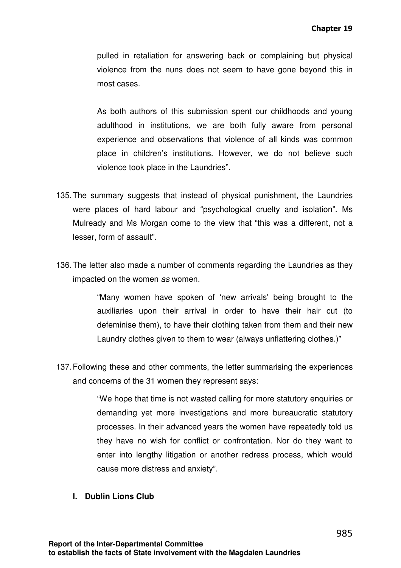pulled in retaliation for answering back or complaining but physical violence from the nuns does not seem to have gone beyond this in most cases.

As both authors of this submission spent our childhoods and young adulthood in institutions, we are both fully aware from personal experience and observations that violence of all kinds was common place in children's institutions. However, we do not believe such violence took place in the Laundries".

- 135. The summary suggests that instead of physical punishment, the Laundries were places of hard labour and "psychological cruelty and isolation". Ms Mulready and Ms Morgan come to the view that "this was a different, not a lesser, form of assault".
- 136. The letter also made a number of comments regarding the Laundries as they impacted on the women as women.

"Many women have spoken of 'new arrivals' being brought to the auxiliaries upon their arrival in order to have their hair cut (to defeminise them), to have their clothing taken from them and their new Laundry clothes given to them to wear (always unflattering clothes.)"

137. Following these and other comments, the letter summarising the experiences and concerns of the 31 women they represent says:

> "We hope that time is not wasted calling for more statutory enquiries or demanding yet more investigations and more bureaucratic statutory processes. In their advanced years the women have repeatedly told us they have no wish for conflict or confrontation. Nor do they want to enter into lengthy litigation or another redress process, which would cause more distress and anxiety".

**I. Dublin Lions Club**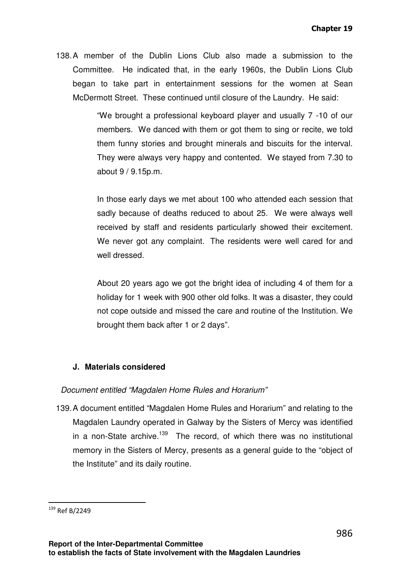138. A member of the Dublin Lions Club also made a submission to the Committee. He indicated that, in the early 1960s, the Dublin Lions Club began to take part in entertainment sessions for the women at Sean McDermott Street. These continued until closure of the Laundry. He said:

> "We brought a professional keyboard player and usually 7 -10 of our members. We danced with them or got them to sing or recite, we told them funny stories and brought minerals and biscuits for the interval. They were always very happy and contented. We stayed from 7.30 to about 9 / 9.15p.m.

> In those early days we met about 100 who attended each session that sadly because of deaths reduced to about 25. We were always well received by staff and residents particularly showed their excitement. We never got any complaint. The residents were well cared for and well dressed.

> About 20 years ago we got the bright idea of including 4 of them for a holiday for 1 week with 900 other old folks. It was a disaster, they could not cope outside and missed the care and routine of the Institution. We brought them back after 1 or 2 days".

# **J. Materials considered**

#### Document entitled "Magdalen Home Rules and Horarium"

139. A document entitled "Magdalen Home Rules and Horarium" and relating to the Magdalen Laundry operated in Galway by the Sisters of Mercy was identified in a non-State archive.<sup>139</sup> The record, of which there was no institutional memory in the Sisters of Mercy, presents as a general guide to the "object of the Institute" and its daily routine.

l

<sup>139</sup> Ref B/2249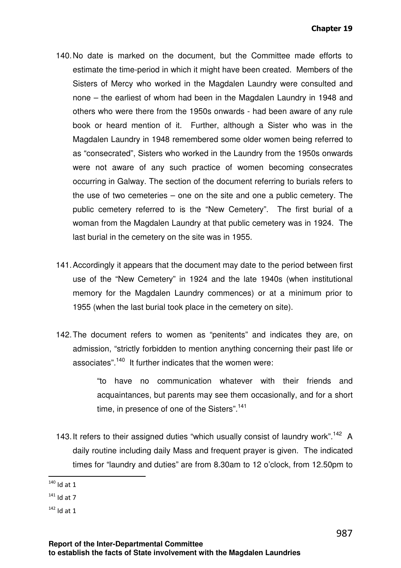- 140. No date is marked on the document, but the Committee made efforts to estimate the time-period in which it might have been created. Members of the Sisters of Mercy who worked in the Magdalen Laundry were consulted and none – the earliest of whom had been in the Magdalen Laundry in 1948 and others who were there from the 1950s onwards - had been aware of any rule book or heard mention of it. Further, although a Sister who was in the Magdalen Laundry in 1948 remembered some older women being referred to as "consecrated", Sisters who worked in the Laundry from the 1950s onwards were not aware of any such practice of women becoming consecrates occurring in Galway. The section of the document referring to burials refers to the use of two cemeteries – one on the site and one a public cemetery. The public cemetery referred to is the "New Cemetery". The first burial of a woman from the Magdalen Laundry at that public cemetery was in 1924. The last burial in the cemetery on the site was in 1955.
- 141. Accordingly it appears that the document may date to the period between first use of the "New Cemetery" in 1924 and the late 1940s (when institutional memory for the Magdalen Laundry commences) or at a minimum prior to 1955 (when the last burial took place in the cemetery on site).
- 142. The document refers to women as "penitents" and indicates they are, on admission, "strictly forbidden to mention anything concerning their past life or associates".<sup>140</sup> It further indicates that the women were:

"to have no communication whatever with their friends and acquaintances, but parents may see them occasionally, and for a short time, in presence of one of the Sisters".<sup>141</sup>

143. It refers to their assigned duties "which usually consist of laundry work".<sup>142</sup> A daily routine including daily Mass and frequent prayer is given. The indicated times for "laundry and duties" are from 8.30am to 12 o'clock, from 12.50pm to

 $\overline{a}$  $140$  Id at 1

 $141$  Id at 7

 $142$  Id at 1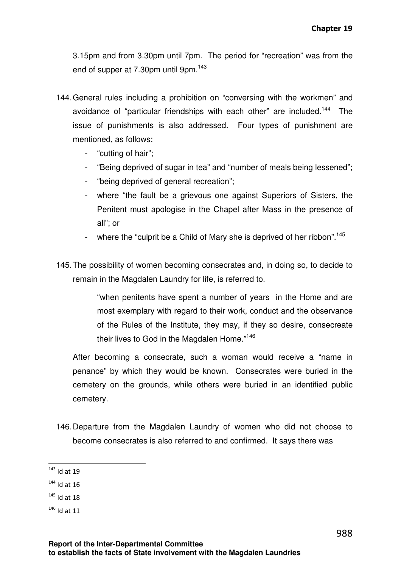3.15pm and from 3.30pm until 7pm. The period for "recreation" was from the end of supper at 7.30pm until 9pm.<sup>143</sup>

- 144. General rules including a prohibition on "conversing with the workmen" and avoidance of "particular friendships with each other" are included.<sup>144</sup> The issue of punishments is also addressed. Four types of punishment are mentioned, as follows:
	- "cutting of hair";
	- "Being deprived of sugar in tea" and "number of meals being lessened";
	- "being deprived of general recreation";
	- where "the fault be a grievous one against Superiors of Sisters, the Penitent must apologise in the Chapel after Mass in the presence of all"; or
	- where the "culprit be a Child of Mary she is deprived of her ribbon".<sup>145</sup>
- 145. The possibility of women becoming consecrates and, in doing so, to decide to remain in the Magdalen Laundry for life, is referred to.

"when penitents have spent a number of years in the Home and are most exemplary with regard to their work, conduct and the observance of the Rules of the Institute, they may, if they so desire, consecreate their lives to God in the Magdalen Home."<sup>146</sup>

After becoming a consecrate, such a woman would receive a "name in penance" by which they would be known. Consecrates were buried in the cemetery on the grounds, while others were buried in an identified public cemetery.

146. Departure from the Magdalen Laundry of women who did not choose to become consecrates is also referred to and confirmed. It says there was

 $143$  Id at 19

 $144$  Id at 16

 $145$  Id at 18

<sup>146</sup> Id at 11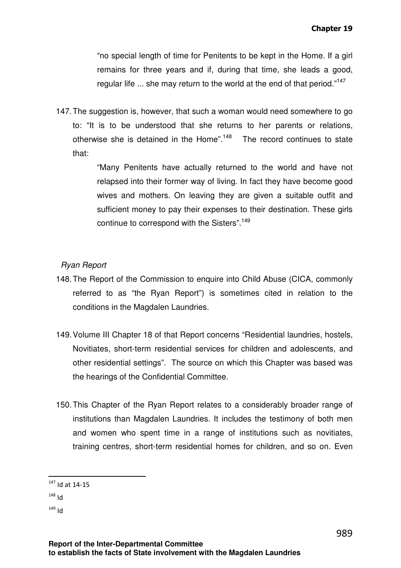"no special length of time for Penitents to be kept in the Home. If a girl remains for three years and if, during that time, she leads a good, regular life ... she may return to the world at the end of that period."<sup>147</sup>

147. The suggestion is, however, that such a woman would need somewhere to go to: "It is to be understood that she returns to her parents or relations, otherwise she is detained in the Home".<sup>148</sup> The record continues to state that:

> "Many Penitents have actually returned to the world and have not relapsed into their former way of living. In fact they have become good wives and mothers. On leaving they are given a suitable outfit and sufficient money to pay their expenses to their destination. These girls continue to correspond with the Sisters".<sup>149</sup>

# Ryan Report

- 148. The Report of the Commission to enquire into Child Abuse (CICA, commonly referred to as "the Ryan Report") is sometimes cited in relation to the conditions in the Magdalen Laundries.
- 149. Volume III Chapter 18 of that Report concerns "Residential laundries, hostels, Novitiates, short-term residential services for children and adolescents, and other residential settings". The source on which this Chapter was based was the hearings of the Confidential Committee.
- 150. This Chapter of the Ryan Report relates to a considerably broader range of institutions than Magdalen Laundries. It includes the testimony of both men and women who spent time in a range of institutions such as novitiates, training centres, short-term residential homes for children, and so on. Even

 $147$  Id at 14-15

 $148$  Id

 $149$  Id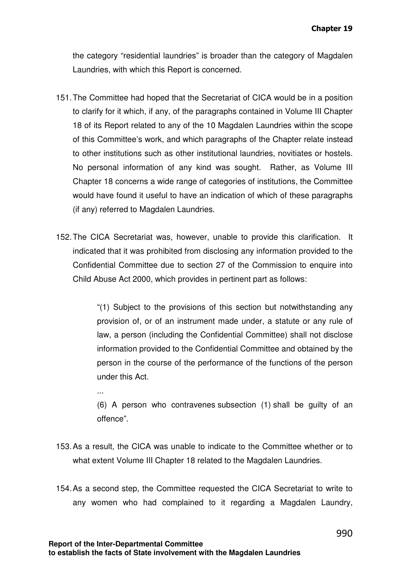the category "residential laundries" is broader than the category of Magdalen Laundries, with which this Report is concerned.

- 151. The Committee had hoped that the Secretariat of CICA would be in a position to clarify for it which, if any, of the paragraphs contained in Volume III Chapter 18 of its Report related to any of the 10 Magdalen Laundries within the scope of this Committee's work, and which paragraphs of the Chapter relate instead to other institutions such as other institutional laundries, novitiates or hostels. No personal information of any kind was sought. Rather, as Volume III Chapter 18 concerns a wide range of categories of institutions, the Committee would have found it useful to have an indication of which of these paragraphs (if any) referred to Magdalen Laundries.
- 152. The CICA Secretariat was, however, unable to provide this clarification. It indicated that it was prohibited from disclosing any information provided to the Confidential Committee due to section 27 of the Commission to enquire into Child Abuse Act 2000, which provides in pertinent part as follows:

"(1) Subject to the provisions of this section but notwithstanding any provision of, or of an instrument made under, a statute or any rule of law, a person (including the Confidential Committee) shall not disclose information provided to the Confidential Committee and obtained by the person in the course of the performance of the functions of the person under this Act.

- (6) A person who contravenes subsection (1) shall be guilty of an offence".
- 153. As a result, the CICA was unable to indicate to the Committee whether or to what extent Volume III Chapter 18 related to the Magdalen Laundries.
- 154. As a second step, the Committee requested the CICA Secretariat to write to any women who had complained to it regarding a Magdalen Laundry,

...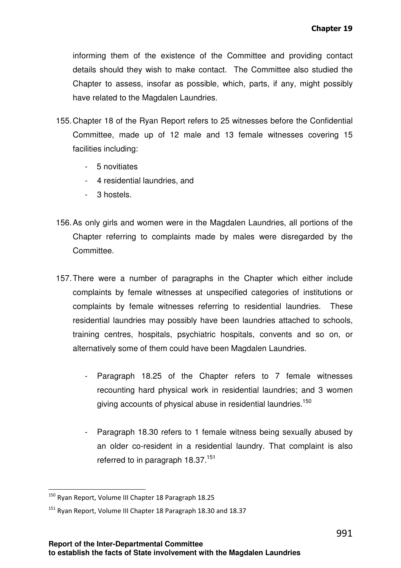informing them of the existence of the Committee and providing contact details should they wish to make contact. The Committee also studied the Chapter to assess, insofar as possible, which, parts, if any, might possibly have related to the Magdalen Laundries.

- 155. Chapter 18 of the Ryan Report refers to 25 witnesses before the Confidential Committee, made up of 12 male and 13 female witnesses covering 15 facilities including:
	- 5 novitiates
	- 4 residential laundries, and
	- 3 hostels.
- 156. As only girls and women were in the Magdalen Laundries, all portions of the Chapter referring to complaints made by males were disregarded by the Committee.
- 157. There were a number of paragraphs in the Chapter which either include complaints by female witnesses at unspecified categories of institutions or complaints by female witnesses referring to residential laundries. These residential laundries may possibly have been laundries attached to schools, training centres, hospitals, psychiatric hospitals, convents and so on, or alternatively some of them could have been Magdalen Laundries.
	- Paragraph 18.25 of the Chapter refers to 7 female witnesses recounting hard physical work in residential laundries; and 3 women giving accounts of physical abuse in residential laundries.<sup>150</sup>
	- Paragraph 18.30 refers to 1 female witness being sexually abused by an older co-resident in a residential laundry. That complaint is also referred to in paragraph 18.37.<sup>151</sup>

<sup>&</sup>lt;sup>150</sup> Rvan Report, Volume III Chapter 18 Paragraph 18.25

<sup>&</sup>lt;sup>151</sup> Ryan Report, Volume III Chapter 18 Paragraph 18.30 and 18.37